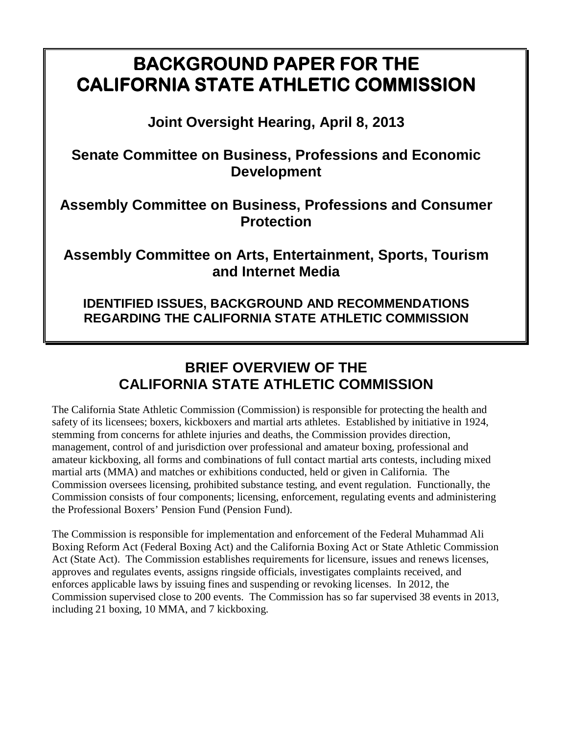# **BACKGROUND PAPER FOR THE CALIFORNIA STATE ATHLETIC COMMISSION**

**Joint Oversight Hearing, April 8, 2013** 

**Senate Committee on Business, Professions and Economic Development** 

**Assembly Committee on Business, Professions and Consumer Protection** 

**Assembly Committee on Arts, Entertainment, Sports, Tourism and Internet Media** 

**IDENTIFIED ISSUES, BACKGROUND AND RECOMMENDATIONS REGARDING THE CALIFORNIA STATE ATHLETIC COMMISSION** 

# **BRIEF OVERVIEW OF THE CALIFORNIA STATE ATHLETIC COMMISSION**

The California State Athletic Commission (Commission) is responsible for protecting the health and safety of its licensees; boxers, kickboxers and martial arts athletes. Established by initiative in 1924, stemming from concerns for athlete injuries and deaths, the Commission provides direction, management, control of and jurisdiction over professional and amateur boxing, professional and amateur kickboxing, all forms and combinations of full contact martial arts contests, including mixed martial arts (MMA) and matches or exhibitions conducted, held or given in California. The Commission oversees licensing, prohibited substance testing, and event regulation. Functionally, the Commission consists of four components; licensing, enforcement, regulating events and administering the Professional Boxers' Pension Fund (Pension Fund).

The Commission is responsible for implementation and enforcement of the Federal Muhammad Ali Boxing Reform Act (Federal Boxing Act) and the California Boxing Act or State Athletic Commission Act (State Act). The Commission establishes requirements for licensure, issues and renews licenses, approves and regulates events, assigns ringside officials, investigates complaints received, and enforces applicable laws by issuing fines and suspending or revoking licenses. In 2012, the Commission supervised close to 200 events. The Commission has so far supervised 38 events in 2013, including 21 boxing, 10 MMA, and 7 kickboxing.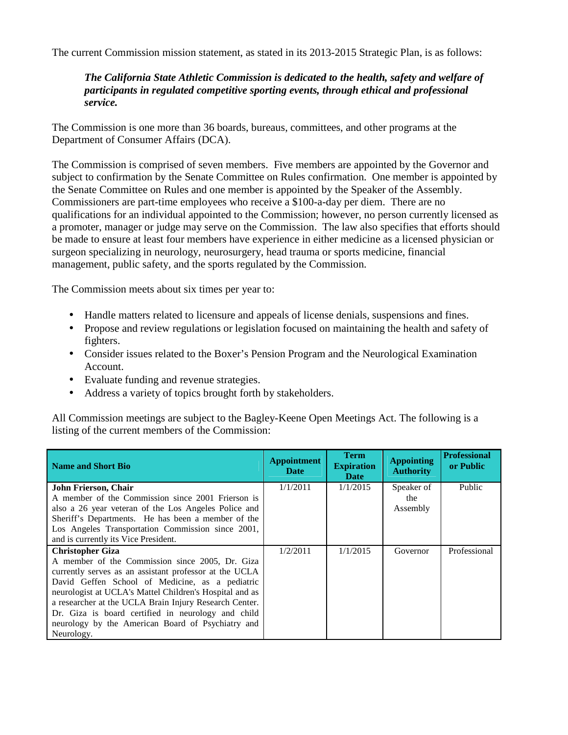The current Commission mission statement, as stated in its 2013-2015 Strategic Plan, is as follows:

#### *The California State Athletic Commission is dedicated to the health, safety and welfare of participants in regulated competitive sporting events, through ethical and professional service.*

The Commission is one more than 36 boards, bureaus, committees, and other programs at the Department of Consumer Affairs (DCA).

The Commission is comprised of seven members. Five members are appointed by the Governor and subject to confirmation by the Senate Committee on Rules confirmation. One member is appointed by the Senate Committee on Rules and one member is appointed by the Speaker of the Assembly. Commissioners are part-time employees who receive a \$100-a-day per diem. There are no qualifications for an individual appointed to the Commission; however, no person currently licensed as a promoter, manager or judge may serve on the Commission. The law also specifies that efforts should be made to ensure at least four members have experience in either medicine as a licensed physician or surgeon specializing in neurology, neurosurgery, head trauma or sports medicine, financial management, public safety, and the sports regulated by the Commission.

The Commission meets about six times per year to:

- Handle matters related to licensure and appeals of license denials, suspensions and fines.
- Propose and review regulations or legislation focused on maintaining the health and safety of fighters.
- Consider issues related to the Boxer's Pension Program and the Neurological Examination Account.
- Evaluate funding and revenue strategies.
- Address a variety of topics brought forth by stakeholders.

All Commission meetings are subject to the Bagley-Keene Open Meetings Act. The following is a listing of the current members of the Commission:

| <b>Name and Short Bio</b>                               | <b>Appointment</b><br><b>Date</b> | <b>Term</b><br><b>Expiration</b><br><b>Date</b> | <b>Appointing</b><br><b>Authority</b> | <b>Professional</b><br>or Public |
|---------------------------------------------------------|-----------------------------------|-------------------------------------------------|---------------------------------------|----------------------------------|
| John Frierson, Chair                                    | 1/1/2011                          | 1/1/2015                                        | Speaker of                            | Public                           |
| A member of the Commission since 2001 Frierson is       |                                   |                                                 | the                                   |                                  |
| also a 26 year veteran of the Los Angeles Police and    |                                   |                                                 | Assembly                              |                                  |
| Sheriff's Departments. He has been a member of the      |                                   |                                                 |                                       |                                  |
| Los Angeles Transportation Commission since 2001,       |                                   |                                                 |                                       |                                  |
| and is currently its Vice President.                    |                                   |                                                 |                                       |                                  |
| <b>Christopher Giza</b>                                 | 1/2/2011                          | 1/1/2015                                        | Governor                              | Professional                     |
| A member of the Commission since 2005, Dr. Giza         |                                   |                                                 |                                       |                                  |
| currently serves as an assistant professor at the UCLA  |                                   |                                                 |                                       |                                  |
| David Geffen School of Medicine, as a pediatric         |                                   |                                                 |                                       |                                  |
| neurologist at UCLA's Mattel Children's Hospital and as |                                   |                                                 |                                       |                                  |
| a researcher at the UCLA Brain Injury Research Center.  |                                   |                                                 |                                       |                                  |
| Dr. Giza is board certified in neurology and child      |                                   |                                                 |                                       |                                  |
| neurology by the American Board of Psychiatry and       |                                   |                                                 |                                       |                                  |
| Neurology.                                              |                                   |                                                 |                                       |                                  |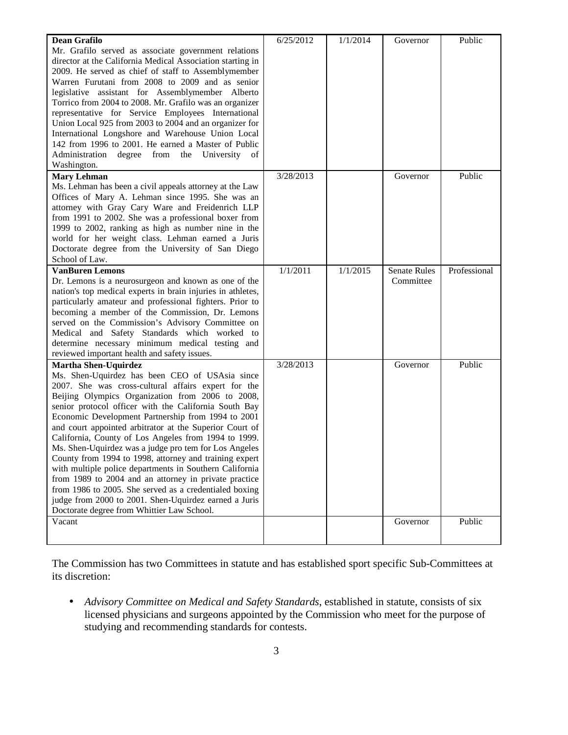| <b>Dean Grafilo</b>                                         | 6/25/2012 | 1/1/2014 | Governor            | Public       |
|-------------------------------------------------------------|-----------|----------|---------------------|--------------|
| Mr. Grafilo served as associate government relations        |           |          |                     |              |
| director at the California Medical Association starting in  |           |          |                     |              |
| 2009. He served as chief of staff to Assemblymember         |           |          |                     |              |
| Warren Furutani from 2008 to 2009 and as senior             |           |          |                     |              |
| legislative assistant for Assemblymember Alberto            |           |          |                     |              |
| Torrico from 2004 to 2008. Mr. Grafilo was an organizer     |           |          |                     |              |
| representative for Service Employees International          |           |          |                     |              |
| Union Local 925 from 2003 to 2004 and an organizer for      |           |          |                     |              |
| International Longshore and Warehouse Union Local           |           |          |                     |              |
| 142 from 1996 to 2001. He earned a Master of Public         |           |          |                     |              |
| Administration<br>degree from the University<br>of          |           |          |                     |              |
| Washington.                                                 |           |          |                     |              |
| <b>Mary Lehman</b>                                          | 3/28/2013 |          | Governor            | Public       |
| Ms. Lehman has been a civil appeals attorney at the Law     |           |          |                     |              |
| Offices of Mary A. Lehman since 1995. She was an            |           |          |                     |              |
| attorney with Gray Cary Ware and Freidenrich LLP            |           |          |                     |              |
| from 1991 to 2002. She was a professional boxer from        |           |          |                     |              |
| 1999 to 2002, ranking as high as number nine in the         |           |          |                     |              |
| world for her weight class. Lehman earned a Juris           |           |          |                     |              |
| Doctorate degree from the University of San Diego           |           |          |                     |              |
| School of Law.                                              |           |          |                     |              |
| <b>VanBuren Lemons</b>                                      | 1/1/2011  | 1/1/2015 | <b>Senate Rules</b> | Professional |
| Dr. Lemons is a neurosurgeon and known as one of the        |           |          | Committee           |              |
| nation's top medical experts in brain injuries in athletes, |           |          |                     |              |
| particularly amateur and professional fighters. Prior to    |           |          |                     |              |
| becoming a member of the Commission, Dr. Lemons             |           |          |                     |              |
| served on the Commission's Advisory Committee on            |           |          |                     |              |
| Medical and Safety Standards which worked to                |           |          |                     |              |
| determine necessary minimum medical testing and             |           |          |                     |              |
| reviewed important health and safety issues.                |           |          |                     |              |
| <b>Martha Shen-Uquirdez</b>                                 | 3/28/2013 |          | Governor            | Public       |
| Ms. Shen-Uquirdez has been CEO of USAsia since              |           |          |                     |              |
| 2007. She was cross-cultural affairs expert for the         |           |          |                     |              |
| Beijing Olympics Organization from 2006 to 2008,            |           |          |                     |              |
| senior protocol officer with the California South Bay       |           |          |                     |              |
| Economic Development Partnership from 1994 to 2001          |           |          |                     |              |
| and court appointed arbitrator at the Superior Court of     |           |          |                     |              |
| California, County of Los Angeles from 1994 to 1999.        |           |          |                     |              |
| Ms. Shen-Uquirdez was a judge pro tem for Los Angeles       |           |          |                     |              |
| County from 1994 to 1998, attorney and training expert      |           |          |                     |              |
| with multiple police departments in Southern California     |           |          |                     |              |
| from 1989 to 2004 and an attorney in private practice       |           |          |                     |              |
| from 1986 to 2005. She served as a credentialed boxing      |           |          |                     |              |
| judge from 2000 to 2001. Shen-Uquirdez earned a Juris       |           |          |                     |              |
| Doctorate degree from Whittier Law School.                  |           |          |                     |              |
| Vacant                                                      |           |          | Governor            | Public       |
|                                                             |           |          |                     |              |
|                                                             |           |          |                     |              |

The Commission has two Committees in statute and has established sport specific Sub-Committees at its discretion:

• *Advisory Committee on Medical and Safety Standards*, established in statute, consists of six licensed physicians and surgeons appointed by the Commission who meet for the purpose of studying and recommending standards for contests.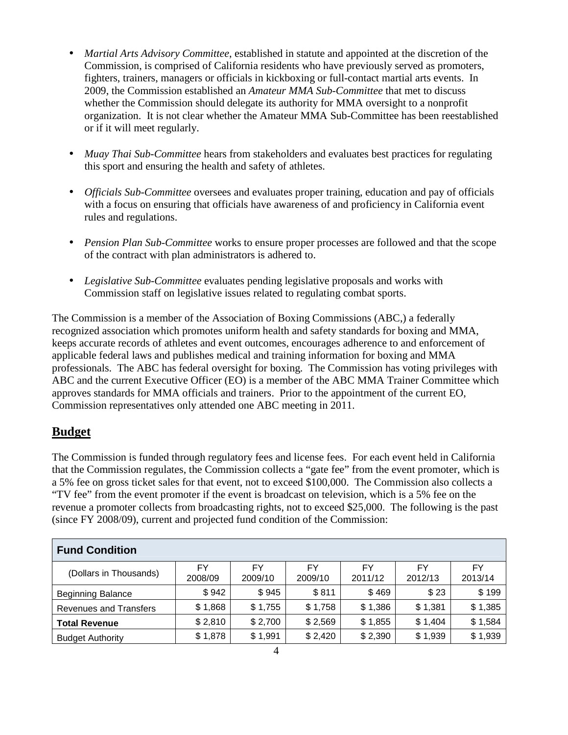- *Martial Arts Advisory Committee*, established in statute and appointed at the discretion of the Commission, is comprised of California residents who have previously served as promoters, fighters, trainers, managers or officials in kickboxing or full-contact martial arts events. In 2009, the Commission established an *Amateur MMA Sub-Committee* that met to discuss whether the Commission should delegate its authority for MMA oversight to a nonprofit organization. It is not clear whether the Amateur MMA Sub-Committee has been reestablished or if it will meet regularly.
- *Muay Thai Sub-Committee* hears from stakeholders and evaluates best practices for regulating this sport and ensuring the health and safety of athletes.
- *Officials Sub-Committee* oversees and evaluates proper training, education and pay of officials with a focus on ensuring that officials have awareness of and proficiency in California event rules and regulations.
- *Pension Plan Sub-Committee* works to ensure proper processes are followed and that the scope of the contract with plan administrators is adhered to.
- *Legislative Sub-Committee* evaluates pending legislative proposals and works with Commission staff on legislative issues related to regulating combat sports.

The Commission is a member of the Association of Boxing Commissions (ABC,) a federally recognized association which promotes uniform health and safety standards for boxing and MMA, keeps accurate records of athletes and event outcomes, encourages adherence to and enforcement of applicable federal laws and publishes medical and training information for boxing and MMA professionals. The ABC has federal oversight for boxing. The Commission has voting privileges with ABC and the current Executive Officer (EO) is a member of the ABC MMA Trainer Committee which approves standards for MMA officials and trainers. Prior to the appointment of the current EO, Commission representatives only attended one ABC meeting in 2011.

# **Budget**

The Commission is funded through regulatory fees and license fees. For each event held in California that the Commission regulates, the Commission collects a "gate fee" from the event promoter, which is a 5% fee on gross ticket sales for that event, not to exceed \$100,000. The Commission also collects a "TV fee" from the event promoter if the event is broadcast on television, which is a 5% fee on the revenue a promoter collects from broadcasting rights, not to exceed \$25,000. The following is the past (since FY 2008/09), current and projected fund condition of the Commission:

| <b>Fund Condition</b>         |         |         |         |         |         |         |  |  |
|-------------------------------|---------|---------|---------|---------|---------|---------|--|--|
| (Dollars in Thousands)        | FY      | FY      | FY      | FY      | FY      | FY      |  |  |
|                               | 2008/09 | 2009/10 | 2009/10 | 2011/12 | 2012/13 | 2013/14 |  |  |
| <b>Beginning Balance</b>      | \$942   | \$945   | \$811   | \$469   | \$23    | \$199   |  |  |
| <b>Revenues and Transfers</b> | \$1,868 | \$1,755 | \$1,758 | \$1,386 | \$1,381 | \$1,385 |  |  |
| <b>Total Revenue</b>          | \$2,810 | \$2,700 | \$2,569 | \$1,855 | \$1,404 | \$1,584 |  |  |
| <b>Budget Authority</b>       | \$1,878 | \$1,991 | \$2,420 | \$2,390 | \$1,939 | \$1,939 |  |  |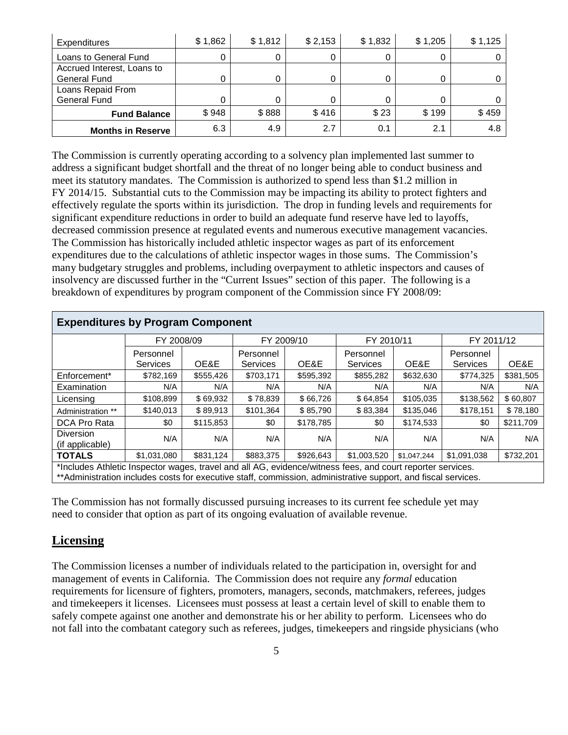| Expenditures               | \$1,862 | \$1,812 | \$2,153 | \$1,832 | \$1,205 | \$1,125 |
|----------------------------|---------|---------|---------|---------|---------|---------|
| Loans to General Fund      | 0       |         |         |         |         |         |
| Accrued Interest, Loans to |         |         |         |         |         |         |
| <b>General Fund</b>        | 0       |         |         |         |         |         |
| Loans Repaid From          |         |         |         |         |         |         |
| <b>General Fund</b>        | 0       |         |         |         |         |         |
| <b>Fund Balance</b>        | \$948   | \$888   | \$416   | \$23    | \$199   | \$459   |
| <b>Months in Reserve</b>   | 6.3     | 4.9     | 2.7     | 0.1     | 2.1     | 4.8     |

The Commission is currently operating according to a solvency plan implemented last summer to address a significant budget shortfall and the threat of no longer being able to conduct business and meet its statutory mandates. The Commission is authorized to spend less than \$1.2 million in FY 2014/15. Substantial cuts to the Commission may be impacting its ability to protect fighters and effectively regulate the sports within its jurisdiction. The drop in funding levels and requirements for significant expenditure reductions in order to build an adequate fund reserve have led to layoffs, decreased commission presence at regulated events and numerous executive management vacancies. The Commission has historically included athletic inspector wages as part of its enforcement expenditures due to the calculations of athletic inspector wages in those sums. The Commission's many budgetary struggles and problems, including overpayment to athletic inspectors and causes of insolvency are discussed further in the "Current Issues" section of this paper. The following is a breakdown of expenditures by program component of the Commission since FY 2008/09:

| <b>Expenditures by Program Component</b>                                                                                                                                                                                     |                              |           |                              |            |                              |           |                       |            |  |
|------------------------------------------------------------------------------------------------------------------------------------------------------------------------------------------------------------------------------|------------------------------|-----------|------------------------------|------------|------------------------------|-----------|-----------------------|------------|--|
|                                                                                                                                                                                                                              | FY 2008/09                   |           |                              | FY 2009/10 | FY 2010/11                   |           |                       | FY 2011/12 |  |
|                                                                                                                                                                                                                              | Personnel<br><b>Services</b> | OE&E      | Personnel<br><b>Services</b> | OE&E       | Personnel<br><b>Services</b> | OE&E      | Personnel<br>Services | OE&E       |  |
| Enforcement*                                                                                                                                                                                                                 | \$782,169                    | \$555,426 | \$703,171                    | \$595,392  | \$855,282                    | \$632,630 | \$774,325             | \$381,505  |  |
| Examination                                                                                                                                                                                                                  | N/A                          | N/A       | N/A                          | N/A        | N/A                          | N/A       | N/A                   | N/A        |  |
| Licensina                                                                                                                                                                                                                    | \$108,899                    | \$69,932  | \$78,839                     | \$66,726   | \$64,854                     | \$105,035 | \$138,562             | \$60,807   |  |
| Administration **                                                                                                                                                                                                            | \$140,013                    | \$89,913  | \$101,364                    | \$85,790   | \$83,384                     | \$135,046 | \$178,151             | \$78,180   |  |
| DCA Pro Rata                                                                                                                                                                                                                 | \$0                          | \$115,853 | \$0                          | \$178,785  | \$0                          | \$174,533 | \$0                   | \$211,709  |  |
| <b>Diversion</b><br>(if applicable)                                                                                                                                                                                          | N/A                          | N/A       | N/A                          | N/A        | N/A                          | N/A       | N/A                   | N/A        |  |
| <b>TOTALS</b><br>\$831.124<br>\$1,031,080<br>\$883,375<br>\$926.643<br>\$1,003,520<br>\$1.091.038<br>\$1,047,244                                                                                                             |                              |           |                              |            |                              |           |                       | \$732,201  |  |
| *Includes Athletic Inspector wages, travel and all AG, evidence/witness fees, and court reporter services.<br>** Administration includes costs for executive staff, commission, administrative support, and fiscal services. |                              |           |                              |            |                              |           |                       |            |  |

The Commission has not formally discussed pursuing increases to its current fee schedule yet may need to consider that option as part of its ongoing evaluation of available revenue.

## **Licensing**

The Commission licenses a number of individuals related to the participation in, oversight for and management of events in California. The Commission does not require any *formal* education requirements for licensure of fighters, promoters, managers, seconds, matchmakers, referees, judges and timekeepers it licenses. Licensees must possess at least a certain level of skill to enable them to safely compete against one another and demonstrate his or her ability to perform. Licensees who do not fall into the combatant category such as referees, judges, timekeepers and ringside physicians (who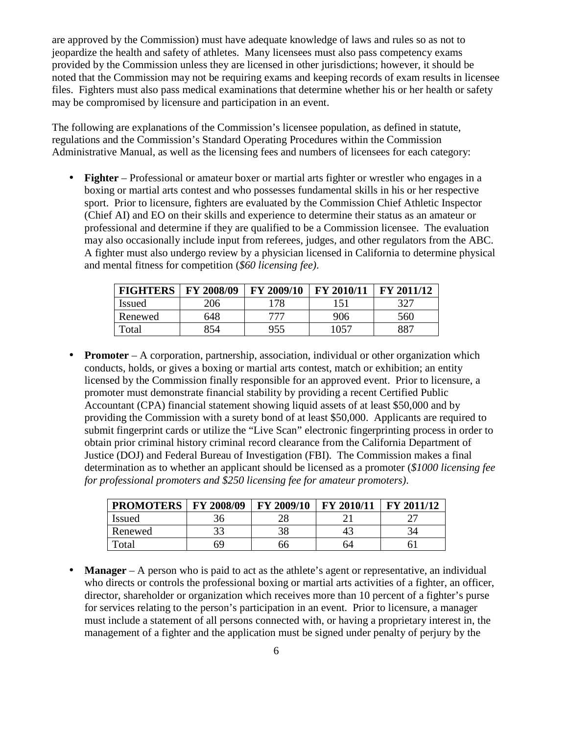are approved by the Commission) must have adequate knowledge of laws and rules so as not to jeopardize the health and safety of athletes. Many licensees must also pass competency exams provided by the Commission unless they are licensed in other jurisdictions; however, it should be noted that the Commission may not be requiring exams and keeping records of exam results in licensee files. Fighters must also pass medical examinations that determine whether his or her health or safety may be compromised by licensure and participation in an event.

The following are explanations of the Commission's licensee population, as defined in statute, regulations and the Commission's Standard Operating Procedures within the Commission Administrative Manual, as well as the licensing fees and numbers of licensees for each category:

• **Fighter** – Professional or amateur boxer or martial arts fighter or wrestler who engages in a boxing or martial arts contest and who possesses fundamental skills in his or her respective sport. Prior to licensure, fighters are evaluated by the Commission Chief Athletic Inspector (Chief AI) and EO on their skills and experience to determine their status as an amateur or professional and determine if they are qualified to be a Commission licensee. The evaluation may also occasionally include input from referees, judges, and other regulators from the ABC. A fighter must also undergo review by a physician licensed in California to determine physical and mental fitness for competition (*\$60 licensing fee)*.

| <b>FIGHTERS</b> | FY 2008/09 | FY 2009/10 | FY 2010/11 | FY 2011/12 |
|-----------------|------------|------------|------------|------------|
| <b>Issued</b>   | 206        | .78        | 151        | 327        |
| Renewed         | 648        | 777        | 906        | 560        |
| Total           | 354        | 955        | .057       | 887        |

• **Promoter** – A corporation, partnership, association, individual or other organization which conducts, holds, or gives a boxing or martial arts contest, match or exhibition; an entity licensed by the Commission finally responsible for an approved event. Prior to licensure, a promoter must demonstrate financial stability by providing a recent Certified Public Accountant (CPA) financial statement showing liquid assets of at least \$50,000 and by providing the Commission with a surety bond of at least \$50,000. Applicants are required to submit fingerprint cards or utilize the "Live Scan" electronic fingerprinting process in order to obtain prior criminal history criminal record clearance from the California Department of Justice (DOJ) and Federal Bureau of Investigation (FBI). The Commission makes a final determination as to whether an applicant should be licensed as a promoter (*\$1000 licensing fee for professional promoters and \$250 licensing fee for amateur promoters)*.

| <b>PROMOTERS   FY 2008/09</b> |    | FY 2009/10 | FY 2010/11 | <b>FY 2011/12</b> |
|-------------------------------|----|------------|------------|-------------------|
| <b>Issued</b>                 |    |            |            |                   |
| Renewed                       |    |            |            |                   |
| Total                         | 69 | nn         | n4         |                   |

• **Manager** – A person who is paid to act as the athlete's agent or representative, an individual who directs or controls the professional boxing or martial arts activities of a fighter, an officer, director, shareholder or organization which receives more than 10 percent of a fighter's purse for services relating to the person's participation in an event. Prior to licensure, a manager must include a statement of all persons connected with, or having a proprietary interest in, the management of a fighter and the application must be signed under penalty of perjury by the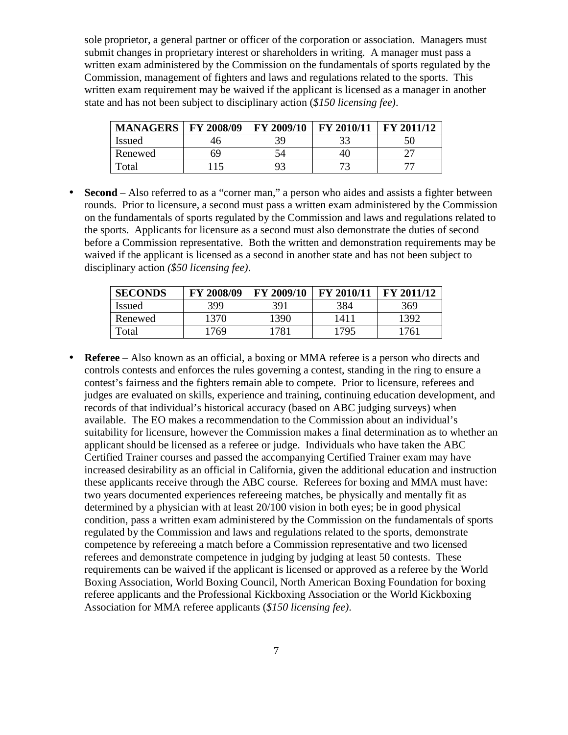sole proprietor, a general partner or officer of the corporation or association. Managers must submit changes in proprietary interest or shareholders in writing. A manager must pass a written exam administered by the Commission on the fundamentals of sports regulated by the Commission, management of fighters and laws and regulations related to the sports. This written exam requirement may be waived if the applicant is licensed as a manager in another state and has not been subject to disciplinary action (*\$150 licensing fee)*.

| <b>MANAGERS</b>        | FY 2008/09 | FY 2009/10   | FY 2010/11               | FY 2011/12 |
|------------------------|------------|--------------|--------------------------|------------|
| <b>Issued</b>          | 40         | 39           |                          |            |
| Renewed                | 69         |              |                          |            |
| $\tau$ <sub>otal</sub> |            | $Q^{\sigma}$ | $\overline{\phantom{a}}$ |            |

• **Second** – Also referred to as a "corner man," a person who aides and assists a fighter between rounds. Prior to licensure, a second must pass a written exam administered by the Commission on the fundamentals of sports regulated by the Commission and laws and regulations related to the sports. Applicants for licensure as a second must also demonstrate the duties of second before a Commission representative. Both the written and demonstration requirements may be waived if the applicant is licensed as a second in another state and has not been subject to disciplinary action *(\$50 licensing fee)*.

| <b>SECONDS</b> | FY 2008/09 | FY 2009/10 | FY 2010/11 | FY 2011/12 |
|----------------|------------|------------|------------|------------|
| <b>Issued</b>  | 399        | 391        | 384        | 369        |
| Renewed        | 1370       | 1390       | 1411       | 1392       |
| Total          | 1769       | 1781       | 1795       | 1761       |

• **Referee** – Also known as an official, a boxing or MMA referee is a person who directs and controls contests and enforces the rules governing a contest, standing in the ring to ensure a contest's fairness and the fighters remain able to compete. Prior to licensure, referees and judges are evaluated on skills, experience and training, continuing education development, and records of that individual's historical accuracy (based on ABC judging surveys) when available. The EO makes a recommendation to the Commission about an individual's suitability for licensure, however the Commission makes a final determination as to whether an applicant should be licensed as a referee or judge. Individuals who have taken the ABC Certified Trainer courses and passed the accompanying Certified Trainer exam may have increased desirability as an official in California, given the additional education and instruction these applicants receive through the ABC course. Referees for boxing and MMA must have: two years documented experiences refereeing matches, be physically and mentally fit as determined by a physician with at least 20/100 vision in both eyes; be in good physical condition, pass a written exam administered by the Commission on the fundamentals of sports regulated by the Commission and laws and regulations related to the sports, demonstrate competence by refereeing a match before a Commission representative and two licensed referees and demonstrate competence in judging by judging at least 50 contests. These requirements can be waived if the applicant is licensed or approved as a referee by the World Boxing Association, World Boxing Council, North American Boxing Foundation for boxing referee applicants and the Professional Kickboxing Association or the World Kickboxing Association for MMA referee applicants (*\$150 licensing fee)*.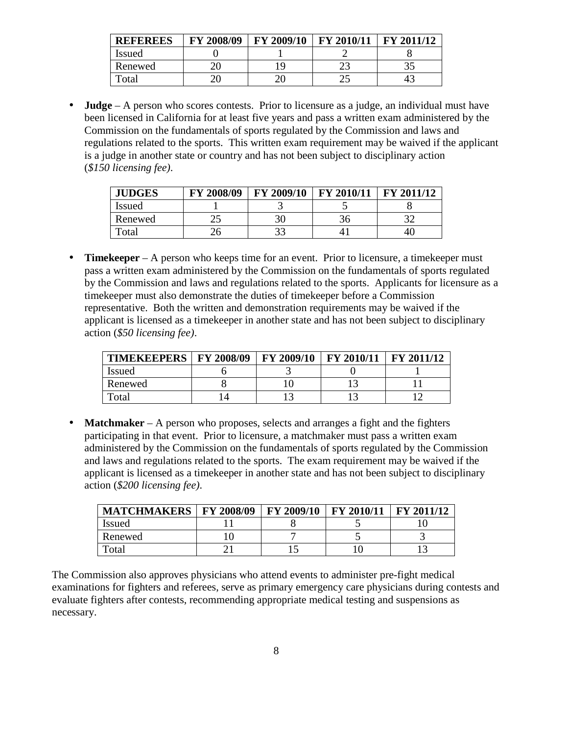| <b>REFEREES</b> | FY 2008/09 | FY 2009/10   | FY 2010/11 | FY 2011/12 |
|-----------------|------------|--------------|------------|------------|
| <i>Issued</i>   |            |              |            |            |
| Renewed         |            | $\mathbf{c}$ |            | ີ          |
| `otal           |            |              |            |            |

• **Judge** – A person who scores contests. Prior to licensure as a judge, an individual must have been licensed in California for at least five years and pass a written exam administered by the Commission on the fundamentals of sports regulated by the Commission and laws and regulations related to the sports. This written exam requirement may be waived if the applicant is a judge in another state or country and has not been subject to disciplinary action (*\$150 licensing fee)*.

| <b>JUDGES</b> | FY 2008/09 | FY 2009/10 | FY 2010/11 | FY 2011/12 |
|---------------|------------|------------|------------|------------|
| <i>Issued</i> |            |            |            |            |
| Renewed       | ر_         | 30         |            |            |
| `otal         | ∠Ծ         |            |            | 40.        |

• **Timekeeper** – A person who keeps time for an event. Prior to licensure, a timekeeper must pass a written exam administered by the Commission on the fundamentals of sports regulated by the Commission and laws and regulations related to the sports. Applicants for licensure as a timekeeper must also demonstrate the duties of timekeeper before a Commission representative. Both the written and demonstration requirements may be waived if the applicant is licensed as a timekeeper in another state and has not been subject to disciplinary action (*\$50 licensing fee)*.

| <b>TIMEKEEPERS   FY 2008/09</b> | FY 2009/10 | <b>FY 2010/11</b> | $\perp$ FY 2011/12 |
|---------------------------------|------------|-------------------|--------------------|
| Issued                          |            |                   |                    |
| Renewed                         |            |                   |                    |
| $\tau$ <sub>otal</sub>          |            |                   |                    |

• **Matchmaker** – A person who proposes, selects and arranges a fight and the fighters participating in that event. Prior to licensure, a matchmaker must pass a written exam administered by the Commission on the fundamentals of sports regulated by the Commission and laws and regulations related to the sports. The exam requirement may be waived if the applicant is licensed as a timekeeper in another state and has not been subject to disciplinary action (*\$200 licensing fee)*.

| <b>MATCHMAKERS</b> | <b>FY 2008/09</b> | <b>FY 2009/10</b> | FY 2010/11   FY 2011/12 |  |
|--------------------|-------------------|-------------------|-------------------------|--|
| <b>Issued</b>      |                   |                   |                         |  |
| Renewed            |                   |                   |                         |  |
| Total              |                   |                   |                         |  |

The Commission also approves physicians who attend events to administer pre-fight medical examinations for fighters and referees, serve as primary emergency care physicians during contests and evaluate fighters after contests, recommending appropriate medical testing and suspensions as necessary.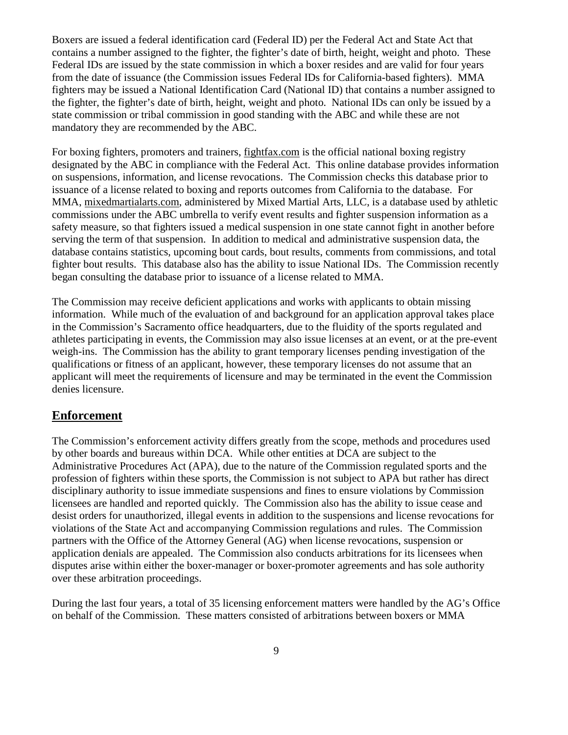Boxers are issued a federal identification card (Federal ID) per the Federal Act and State Act that contains a number assigned to the fighter, the fighter's date of birth, height, weight and photo. These Federal IDs are issued by the state commission in which a boxer resides and are valid for four years from the date of issuance (the Commission issues Federal IDs for California-based fighters). MMA fighters may be issued a National Identification Card (National ID) that contains a number assigned to the fighter, the fighter's date of birth, height, weight and photo. National IDs can only be issued by a state commission or tribal commission in good standing with the ABC and while these are not mandatory they are recommended by the ABC.

For boxing fighters, promoters and trainers, fightfax.com is the official national boxing registry designated by the ABC in compliance with the Federal Act. This online database provides information on suspensions, information, and license revocations. The Commission checks this database prior to issuance of a license related to boxing and reports outcomes from California to the database. For MMA, mixedmartialarts.com, administered by Mixed Martial Arts, LLC, is a database used by athletic commissions under the ABC umbrella to verify event results and fighter suspension information as a safety measure, so that fighters issued a medical suspension in one state cannot fight in another before serving the term of that suspension. In addition to medical and administrative suspension data, the database contains statistics, upcoming bout cards, bout results, comments from commissions, and total fighter bout results. This database also has the ability to issue National IDs. The Commission recently began consulting the database prior to issuance of a license related to MMA.

The Commission may receive deficient applications and works with applicants to obtain missing information. While much of the evaluation of and background for an application approval takes place in the Commission's Sacramento office headquarters, due to the fluidity of the sports regulated and athletes participating in events, the Commission may also issue licenses at an event, or at the pre-event weigh-ins. The Commission has the ability to grant temporary licenses pending investigation of the qualifications or fitness of an applicant, however, these temporary licenses do not assume that an applicant will meet the requirements of licensure and may be terminated in the event the Commission denies licensure.

#### **Enforcement**

The Commission's enforcement activity differs greatly from the scope, methods and procedures used by other boards and bureaus within DCA. While other entities at DCA are subject to the Administrative Procedures Act (APA), due to the nature of the Commission regulated sports and the profession of fighters within these sports, the Commission is not subject to APA but rather has direct disciplinary authority to issue immediate suspensions and fines to ensure violations by Commission licensees are handled and reported quickly. The Commission also has the ability to issue cease and desist orders for unauthorized, illegal events in addition to the suspensions and license revocations for violations of the State Act and accompanying Commission regulations and rules. The Commission partners with the Office of the Attorney General (AG) when license revocations, suspension or application denials are appealed. The Commission also conducts arbitrations for its licensees when disputes arise within either the boxer-manager or boxer-promoter agreements and has sole authority over these arbitration proceedings.

During the last four years, a total of 35 licensing enforcement matters were handled by the AG's Office on behalf of the Commission. These matters consisted of arbitrations between boxers or MMA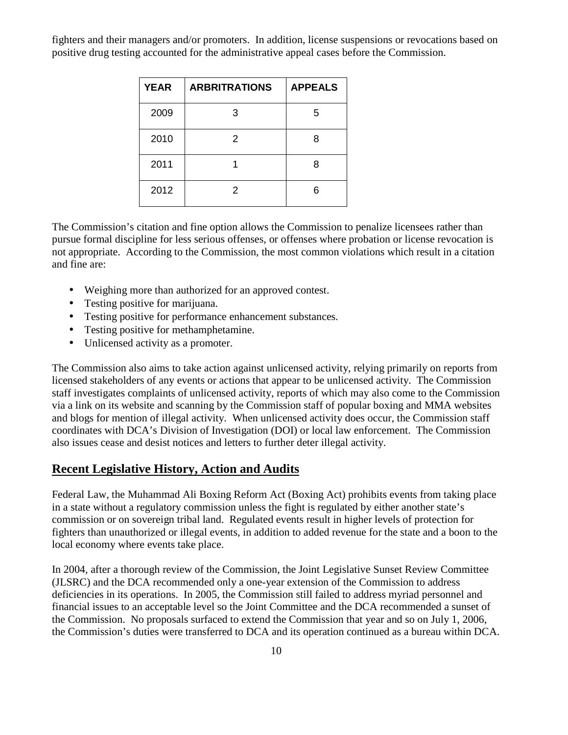fighters and their managers and/or promoters. In addition, license suspensions or revocations based on positive drug testing accounted for the administrative appeal cases before the Commission.

| <b>YEAR</b> | <b>ARBRITRATIONS</b> | <b>APPEALS</b> |
|-------------|----------------------|----------------|
| 2009        | З                    | 5              |
| 2010        | 2                    | 8              |
| 2011        |                      | 8              |
| 2012        | 2                    | 6              |

The Commission's citation and fine option allows the Commission to penalize licensees rather than pursue formal discipline for less serious offenses, or offenses where probation or license revocation is not appropriate. According to the Commission, the most common violations which result in a citation and fine are:

- Weighing more than authorized for an approved contest.
- Testing positive for marijuana.
- Testing positive for performance enhancement substances.
- Testing positive for methamphetamine.
- Unlicensed activity as a promoter.

The Commission also aims to take action against unlicensed activity, relying primarily on reports from licensed stakeholders of any events or actions that appear to be unlicensed activity. The Commission staff investigates complaints of unlicensed activity, reports of which may also come to the Commission via a link on its website and scanning by the Commission staff of popular boxing and MMA websites and blogs for mention of illegal activity. When unlicensed activity does occur, the Commission staff coordinates with DCA's Division of Investigation (DOI) or local law enforcement. The Commission also issues cease and desist notices and letters to further deter illegal activity.

#### **Recent Legislative History, Action and Audits**

Federal Law, the Muhammad Ali Boxing Reform Act (Boxing Act) prohibits events from taking place in a state without a regulatory commission unless the fight is regulated by either another state's commission or on sovereign tribal land. Regulated events result in higher levels of protection for fighters than unauthorized or illegal events, in addition to added revenue for the state and a boon to the local economy where events take place.

In 2004, after a thorough review of the Commission, the Joint Legislative Sunset Review Committee (JLSRC) and the DCA recommended only a one-year extension of the Commission to address deficiencies in its operations. In 2005, the Commission still failed to address myriad personnel and financial issues to an acceptable level so the Joint Committee and the DCA recommended a sunset of the Commission. No proposals surfaced to extend the Commission that year and so on July 1, 2006, the Commission's duties were transferred to DCA and its operation continued as a bureau within DCA.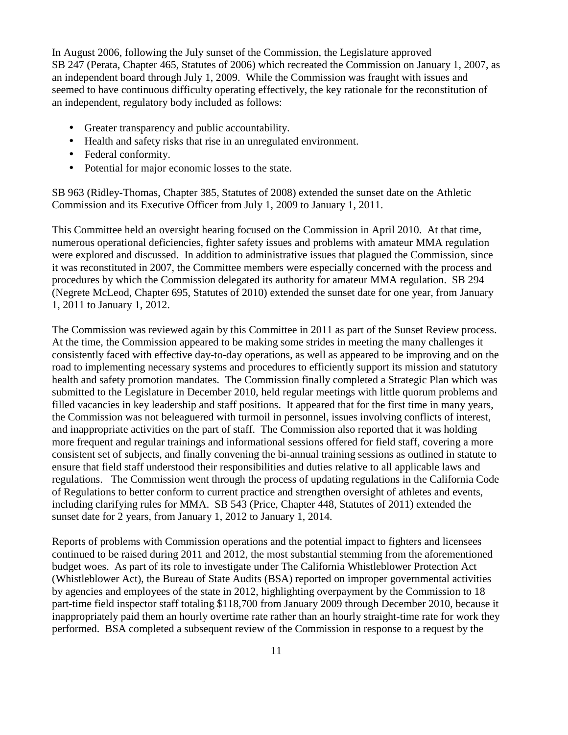In August 2006, following the July sunset of the Commission, the Legislature approved SB 247 (Perata, Chapter 465, Statutes of 2006) which recreated the Commission on January 1, 2007, as an independent board through July 1, 2009. While the Commission was fraught with issues and seemed to have continuous difficulty operating effectively, the key rationale for the reconstitution of an independent, regulatory body included as follows:

- Greater transparency and public accountability.
- Health and safety risks that rise in an unregulated environment.
- Federal conformity.
- Potential for major economic losses to the state.

SB 963 (Ridley-Thomas, Chapter 385, Statutes of 2008) extended the sunset date on the Athletic Commission and its Executive Officer from July 1, 2009 to January 1, 2011.

This Committee held an oversight hearing focused on the Commission in April 2010. At that time, numerous operational deficiencies, fighter safety issues and problems with amateur MMA regulation were explored and discussed. In addition to administrative issues that plagued the Commission, since it was reconstituted in 2007, the Committee members were especially concerned with the process and procedures by which the Commission delegated its authority for amateur MMA regulation. SB 294 (Negrete McLeod, Chapter 695, Statutes of 2010) extended the sunset date for one year, from January 1, 2011 to January 1, 2012.

The Commission was reviewed again by this Committee in 2011 as part of the Sunset Review process. At the time, the Commission appeared to be making some strides in meeting the many challenges it consistently faced with effective day-to-day operations, as well as appeared to be improving and on the road to implementing necessary systems and procedures to efficiently support its mission and statutory health and safety promotion mandates. The Commission finally completed a Strategic Plan which was submitted to the Legislature in December 2010, held regular meetings with little quorum problems and filled vacancies in key leadership and staff positions. It appeared that for the first time in many years, the Commission was not beleaguered with turmoil in personnel, issues involving conflicts of interest, and inappropriate activities on the part of staff. The Commission also reported that it was holding more frequent and regular trainings and informational sessions offered for field staff, covering a more consistent set of subjects, and finally convening the bi-annual training sessions as outlined in statute to ensure that field staff understood their responsibilities and duties relative to all applicable laws and regulations. The Commission went through the process of updating regulations in the California Code of Regulations to better conform to current practice and strengthen oversight of athletes and events, including clarifying rules for MMA. SB 543 (Price, Chapter 448, Statutes of 2011) extended the sunset date for 2 years, from January 1, 2012 to January 1, 2014.

Reports of problems with Commission operations and the potential impact to fighters and licensees continued to be raised during 2011 and 2012, the most substantial stemming from the aforementioned budget woes. As part of its role to investigate under The California Whistleblower Protection Act (Whistleblower Act), the Bureau of State Audits (BSA) reported on improper governmental activities by agencies and employees of the state in 2012, highlighting overpayment by the Commission to 18 part-time field inspector staff totaling \$118,700 from January 2009 through December 2010, because it inappropriately paid them an hourly overtime rate rather than an hourly straight-time rate for work they performed. BSA completed a subsequent review of the Commission in response to a request by the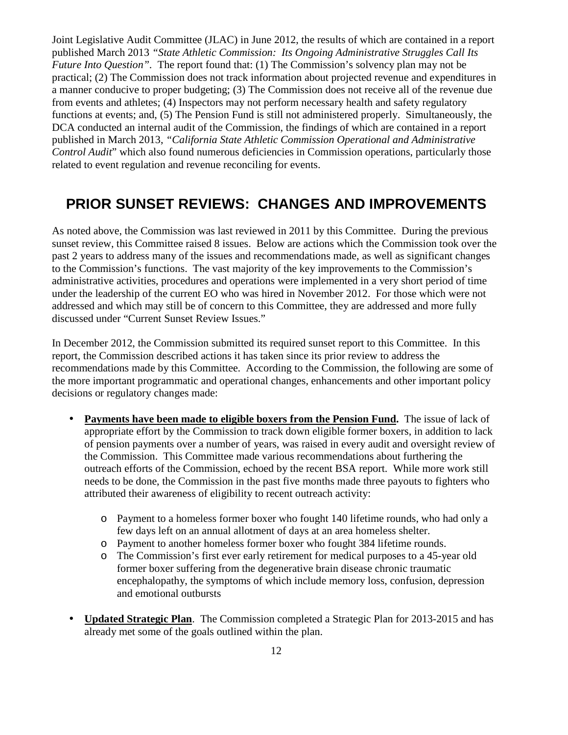Joint Legislative Audit Committee (JLAC) in June 2012, the results of which are contained in a report published March 2013 *"State Athletic Commission: Its Ongoing Administrative Struggles Call Its Future Into Question".* The report found that: (1) The Commission's solvency plan may not be practical; (2) The Commission does not track information about projected revenue and expenditures in a manner conducive to proper budgeting; (3) The Commission does not receive all of the revenue due from events and athletes; (4) Inspectors may not perform necessary health and safety regulatory functions at events; and, (5) The Pension Fund is still not administered properly. Simultaneously, the DCA conducted an internal audit of the Commission, the findings of which are contained in a report published in March 2013, *"California State Athletic Commission Operational and Administrative Control Audit*" which also found numerous deficiencies in Commission operations, particularly those related to event regulation and revenue reconciling for events.

# **PRIOR SUNSET REVIEWS: CHANGES AND IMPROVEMENTS**

As noted above, the Commission was last reviewed in 2011 by this Committee. During the previous sunset review, this Committee raised 8 issues. Below are actions which the Commission took over the past 2 years to address many of the issues and recommendations made, as well as significant changes to the Commission's functions. The vast majority of the key improvements to the Commission's administrative activities, procedures and operations were implemented in a very short period of time under the leadership of the current EO who was hired in November 2012. For those which were not addressed and which may still be of concern to this Committee, they are addressed and more fully discussed under "Current Sunset Review Issues."

In December 2012, the Commission submitted its required sunset report to this Committee. In this report, the Commission described actions it has taken since its prior review to address the recommendations made by this Committee. According to the Commission, the following are some of the more important programmatic and operational changes, enhancements and other important policy decisions or regulatory changes made:

- **Payments have been made to eligible boxers from the Pension Fund.** The issue of lack of appropriate effort by the Commission to track down eligible former boxers, in addition to lack of pension payments over a number of years, was raised in every audit and oversight review of the Commission. This Committee made various recommendations about furthering the outreach efforts of the Commission, echoed by the recent BSA report. While more work still needs to be done, the Commission in the past five months made three payouts to fighters who attributed their awareness of eligibility to recent outreach activity:
	- o Payment to a homeless former boxer who fought 140 lifetime rounds, who had only a few days left on an annual allotment of days at an area homeless shelter.
	- o Payment to another homeless former boxer who fought 384 lifetime rounds.
	- o The Commission's first ever early retirement for medical purposes to a 45-year old former boxer suffering from the degenerative brain disease chronic traumatic encephalopathy, the symptoms of which include memory loss, confusion, depression and emotional outbursts
- **Updated Strategic Plan**. The Commission completed a Strategic Plan for 2013-2015 and has already met some of the goals outlined within the plan.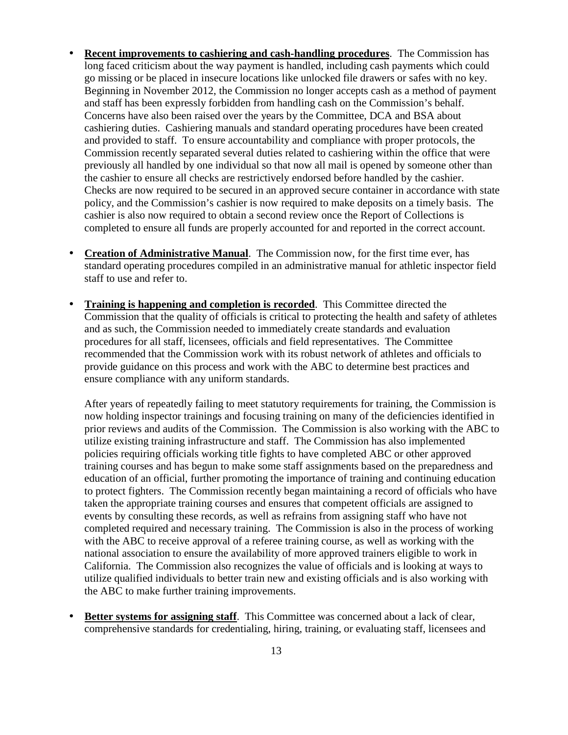- **Recent improvements to cashiering and cash-handling procedures**. The Commission has long faced criticism about the way payment is handled, including cash payments which could go missing or be placed in insecure locations like unlocked file drawers or safes with no key. Beginning in November 2012, the Commission no longer accepts cash as a method of payment and staff has been expressly forbidden from handling cash on the Commission's behalf. Concerns have also been raised over the years by the Committee, DCA and BSA about cashiering duties. Cashiering manuals and standard operating procedures have been created and provided to staff. To ensure accountability and compliance with proper protocols, the Commission recently separated several duties related to cashiering within the office that were previously all handled by one individual so that now all mail is opened by someone other than the cashier to ensure all checks are restrictively endorsed before handled by the cashier. Checks are now required to be secured in an approved secure container in accordance with state policy, and the Commission's cashier is now required to make deposits on a timely basis. The cashier is also now required to obtain a second review once the Report of Collections is completed to ensure all funds are properly accounted for and reported in the correct account.
- **Creation of Administrative Manual**. The Commission now, for the first time ever, has standard operating procedures compiled in an administrative manual for athletic inspector field staff to use and refer to.
- **Training is happening and completion is recorded**. This Committee directed the Commission that the quality of officials is critical to protecting the health and safety of athletes and as such, the Commission needed to immediately create standards and evaluation procedures for all staff, licensees, officials and field representatives. The Committee recommended that the Commission work with its robust network of athletes and officials to provide guidance on this process and work with the ABC to determine best practices and ensure compliance with any uniform standards.

After years of repeatedly failing to meet statutory requirements for training, the Commission is now holding inspector trainings and focusing training on many of the deficiencies identified in prior reviews and audits of the Commission. The Commission is also working with the ABC to utilize existing training infrastructure and staff. The Commission has also implemented policies requiring officials working title fights to have completed ABC or other approved training courses and has begun to make some staff assignments based on the preparedness and education of an official, further promoting the importance of training and continuing education to protect fighters. The Commission recently began maintaining a record of officials who have taken the appropriate training courses and ensures that competent officials are assigned to events by consulting these records, as well as refrains from assigning staff who have not completed required and necessary training. The Commission is also in the process of working with the ABC to receive approval of a referee training course, as well as working with the national association to ensure the availability of more approved trainers eligible to work in California. The Commission also recognizes the value of officials and is looking at ways to utilize qualified individuals to better train new and existing officials and is also working with the ABC to make further training improvements.

• **Better systems for assigning staff**. This Committee was concerned about a lack of clear, comprehensive standards for credentialing, hiring, training, or evaluating staff, licensees and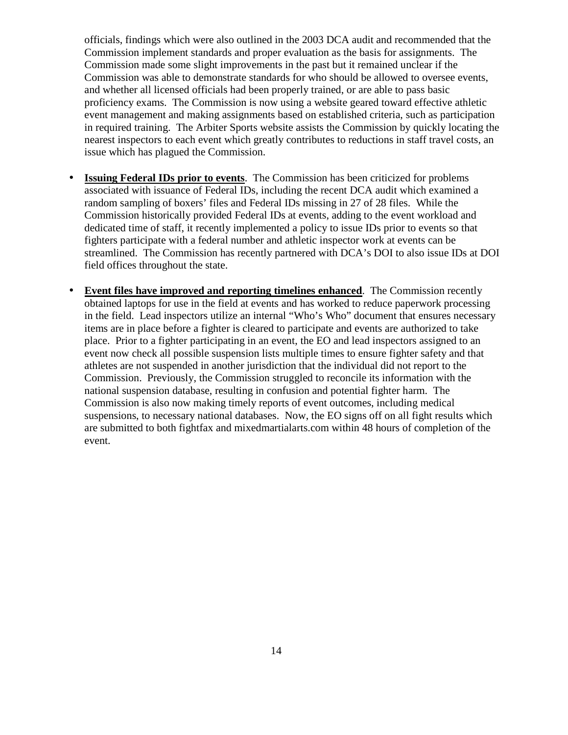officials, findings which were also outlined in the 2003 DCA audit and recommended that the Commission implement standards and proper evaluation as the basis for assignments. The Commission made some slight improvements in the past but it remained unclear if the Commission was able to demonstrate standards for who should be allowed to oversee events, and whether all licensed officials had been properly trained, or are able to pass basic proficiency exams. The Commission is now using a website geared toward effective athletic event management and making assignments based on established criteria, such as participation in required training. The Arbiter Sports website assists the Commission by quickly locating the nearest inspectors to each event which greatly contributes to reductions in staff travel costs, an issue which has plagued the Commission.

- **Issuing Federal IDs prior to events**. The Commission has been criticized for problems associated with issuance of Federal IDs, including the recent DCA audit which examined a random sampling of boxers' files and Federal IDs missing in 27 of 28 files. While the Commission historically provided Federal IDs at events, adding to the event workload and dedicated time of staff, it recently implemented a policy to issue IDs prior to events so that fighters participate with a federal number and athletic inspector work at events can be streamlined. The Commission has recently partnered with DCA's DOI to also issue IDs at DOI field offices throughout the state.
- **Event files have improved and reporting timelines enhanced**. The Commission recently obtained laptops for use in the field at events and has worked to reduce paperwork processing in the field. Lead inspectors utilize an internal "Who's Who" document that ensures necessary items are in place before a fighter is cleared to participate and events are authorized to take place. Prior to a fighter participating in an event, the EO and lead inspectors assigned to an event now check all possible suspension lists multiple times to ensure fighter safety and that athletes are not suspended in another jurisdiction that the individual did not report to the Commission. Previously, the Commission struggled to reconcile its information with the national suspension database, resulting in confusion and potential fighter harm. The Commission is also now making timely reports of event outcomes, including medical suspensions, to necessary national databases. Now, the EO signs off on all fight results which are submitted to both fightfax and mixedmartialarts.com within 48 hours of completion of the event.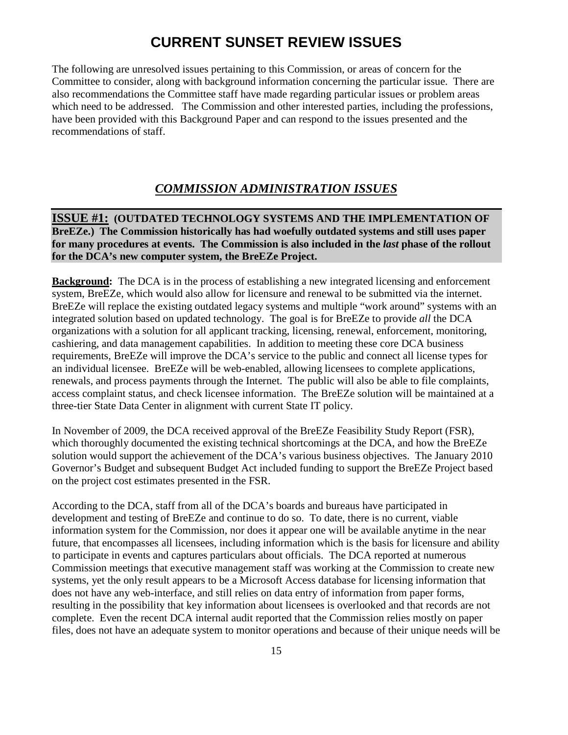# **CURRENT SUNSET REVIEW ISSUES**

The following are unresolved issues pertaining to this Commission, or areas of concern for the Committee to consider, along with background information concerning the particular issue. There are also recommendations the Committee staff have made regarding particular issues or problem areas which need to be addressed. The Commission and other interested parties, including the professions, have been provided with this Background Paper and can respond to the issues presented and the recommendations of staff.

### *COMMISSION ADMINISTRATION ISSUES*

**ISSUE #1: (OUTDATED TECHNOLOGY SYSTEMS AND THE IMPLEMENTATION OF BreEZe.) The Commission historically has had woefully outdated systems and still uses paper for many procedures at events. The Commission is also included in the** *last* **phase of the rollout for the DCA's new computer system, the BreEZe Project.** 

**Background:** The DCA is in the process of establishing a new integrated licensing and enforcement system, BreEZe, which would also allow for licensure and renewal to be submitted via the internet. BreEZe will replace the existing outdated legacy systems and multiple "work around" systems with an integrated solution based on updated technology. The goal is for BreEZe to provide *all* the DCA organizations with a solution for all applicant tracking, licensing, renewal, enforcement, monitoring, cashiering, and data management capabilities. In addition to meeting these core DCA business requirements, BreEZe will improve the DCA's service to the public and connect all license types for an individual licensee. BreEZe will be web-enabled, allowing licensees to complete applications, renewals, and process payments through the Internet. The public will also be able to file complaints, access complaint status, and check licensee information. The BreEZe solution will be maintained at a three-tier State Data Center in alignment with current State IT policy.

In November of 2009, the DCA received approval of the BreEZe Feasibility Study Report (FSR), which thoroughly documented the existing technical shortcomings at the DCA, and how the BreEZe solution would support the achievement of the DCA's various business objectives. The January 2010 Governor's Budget and subsequent Budget Act included funding to support the BreEZe Project based on the project cost estimates presented in the FSR.

According to the DCA, staff from all of the DCA's boards and bureaus have participated in development and testing of BreEZe and continue to do so. To date, there is no current, viable information system for the Commission, nor does it appear one will be available anytime in the near future, that encompasses all licensees, including information which is the basis for licensure and ability to participate in events and captures particulars about officials. The DCA reported at numerous Commission meetings that executive management staff was working at the Commission to create new systems, yet the only result appears to be a Microsoft Access database for licensing information that does not have any web-interface, and still relies on data entry of information from paper forms, resulting in the possibility that key information about licensees is overlooked and that records are not complete. Even the recent DCA internal audit reported that the Commission relies mostly on paper files, does not have an adequate system to monitor operations and because of their unique needs will be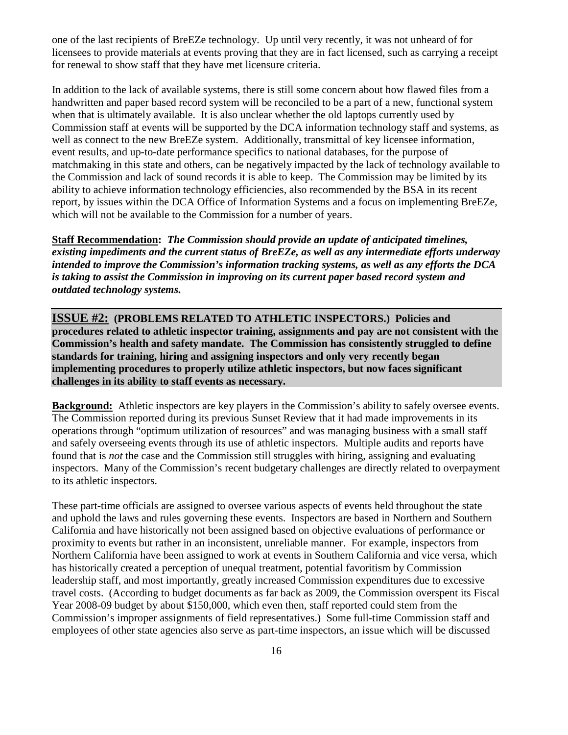one of the last recipients of BreEZe technology. Up until very recently, it was not unheard of for licensees to provide materials at events proving that they are in fact licensed, such as carrying a receipt for renewal to show staff that they have met licensure criteria.

In addition to the lack of available systems, there is still some concern about how flawed files from a handwritten and paper based record system will be reconciled to be a part of a new, functional system when that is ultimately available. It is also unclear whether the old laptops currently used by Commission staff at events will be supported by the DCA information technology staff and systems, as well as connect to the new BreEZe system. Additionally, transmittal of key licensee information, event results, and up-to-date performance specifics to national databases, for the purpose of matchmaking in this state and others, can be negatively impacted by the lack of technology available to the Commission and lack of sound records it is able to keep. The Commission may be limited by its ability to achieve information technology efficiencies, also recommended by the BSA in its recent report, by issues within the DCA Office of Information Systems and a focus on implementing BreEZe, which will not be available to the Commission for a number of years.

**Staff Recommendation:** *The Commission should provide an update of anticipated timelines, existing impediments and the current status of BreEZe, as well as any intermediate efforts underway intended to improve the Commission's information tracking systems, as well as any efforts the DCA is taking to assist the Commission in improving on its current paper based record system and outdated technology systems.* 

**ISSUE #2: (PROBLEMS RELATED TO ATHLETIC INSPECTORS.) Policies and procedures related to athletic inspector training, assignments and pay are not consistent with the Commission's health and safety mandate. The Commission has consistently struggled to define standards for training, hiring and assigning inspectors and only very recently began implementing procedures to properly utilize athletic inspectors, but now faces significant challenges in its ability to staff events as necessary.** 

**Background:** Athletic inspectors are key players in the Commission's ability to safely oversee events. The Commission reported during its previous Sunset Review that it had made improvements in its operations through "optimum utilization of resources" and was managing business with a small staff and safely overseeing events through its use of athletic inspectors. Multiple audits and reports have found that is *not* the case and the Commission still struggles with hiring, assigning and evaluating inspectors. Many of the Commission's recent budgetary challenges are directly related to overpayment to its athletic inspectors.

These part-time officials are assigned to oversee various aspects of events held throughout the state and uphold the laws and rules governing these events. Inspectors are based in Northern and Southern California and have historically not been assigned based on objective evaluations of performance or proximity to events but rather in an inconsistent, unreliable manner. For example, inspectors from Northern California have been assigned to work at events in Southern California and vice versa, which has historically created a perception of unequal treatment, potential favoritism by Commission leadership staff, and most importantly, greatly increased Commission expenditures due to excessive travel costs. (According to budget documents as far back as 2009, the Commission overspent its Fiscal Year 2008-09 budget by about \$150,000, which even then, staff reported could stem from the Commission's improper assignments of field representatives.) Some full-time Commission staff and employees of other state agencies also serve as part-time inspectors, an issue which will be discussed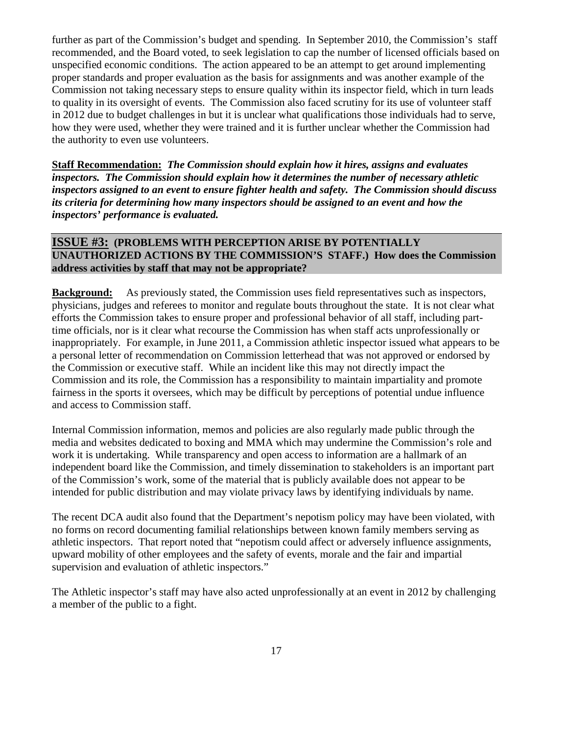further as part of the Commission's budget and spending. In September 2010, the Commission's staff recommended, and the Board voted, to seek legislation to cap the number of licensed officials based on unspecified economic conditions. The action appeared to be an attempt to get around implementing proper standards and proper evaluation as the basis for assignments and was another example of the Commission not taking necessary steps to ensure quality within its inspector field, which in turn leads to quality in its oversight of events. The Commission also faced scrutiny for its use of volunteer staff in 2012 due to budget challenges in but it is unclear what qualifications those individuals had to serve, how they were used, whether they were trained and it is further unclear whether the Commission had the authority to even use volunteers.

**Staff Recommendation:** *The Commission should explain how it hires, assigns and evaluates inspectors. The Commission should explain how it determines the number of necessary athletic inspectors assigned to an event to ensure fighter health and safety. The Commission should discuss its criteria for determining how many inspectors should be assigned to an event and how the inspectors' performance is evaluated.* 

#### **ISSUE #3: (PROBLEMS WITH PERCEPTION ARISE BY POTENTIALLY UNAUTHORIZED ACTIONS BY THE COMMISSION'S STAFF.) How does the Commission address activities by staff that may not be appropriate?**

**Background:** As previously stated, the Commission uses field representatives such as inspectors, physicians, judges and referees to monitor and regulate bouts throughout the state. It is not clear what efforts the Commission takes to ensure proper and professional behavior of all staff, including parttime officials, nor is it clear what recourse the Commission has when staff acts unprofessionally or inappropriately. For example, in June 2011, a Commission athletic inspector issued what appears to be a personal letter of recommendation on Commission letterhead that was not approved or endorsed by the Commission or executive staff. While an incident like this may not directly impact the Commission and its role, the Commission has a responsibility to maintain impartiality and promote fairness in the sports it oversees, which may be difficult by perceptions of potential undue influence and access to Commission staff.

Internal Commission information, memos and policies are also regularly made public through the media and websites dedicated to boxing and MMA which may undermine the Commission's role and work it is undertaking. While transparency and open access to information are a hallmark of an independent board like the Commission, and timely dissemination to stakeholders is an important part of the Commission's work, some of the material that is publicly available does not appear to be intended for public distribution and may violate privacy laws by identifying individuals by name.

The recent DCA audit also found that the Department's nepotism policy may have been violated, with no forms on record documenting familial relationships between known family members serving as athletic inspectors. That report noted that "nepotism could affect or adversely influence assignments, upward mobility of other employees and the safety of events, morale and the fair and impartial supervision and evaluation of athletic inspectors."

The Athletic inspector's staff may have also acted unprofessionally at an event in 2012 by challenging a member of the public to a fight.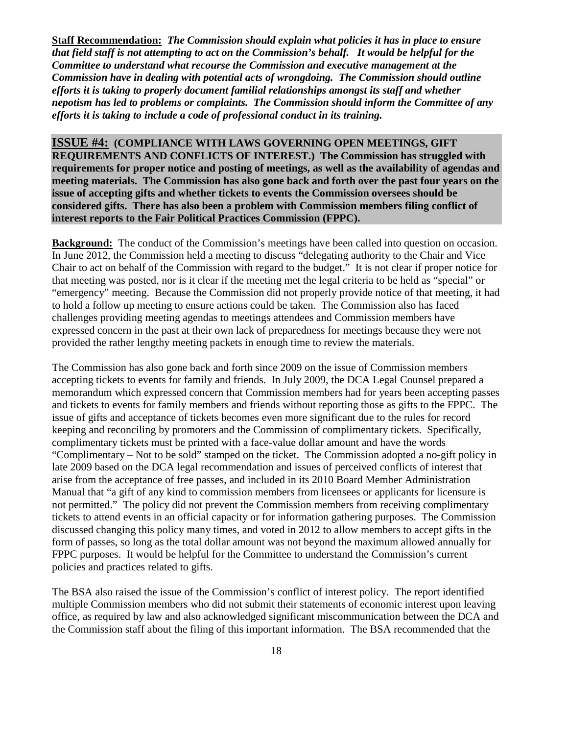**Staff Recommendation:** *The Commission should explain what policies it has in place to ensure that field staff is not attempting to act on the Commission's behalf.**It would be helpful for the Committee to understand what recourse the Commission and executive management at the Commission have in dealing with potential acts of wrongdoing. The Commission should outline efforts it is taking to properly document familial relationships amongst its staff and whether nepotism has led to problems or complaints. The Commission should inform the Committee of any efforts it is taking to include a code of professional conduct in its training.* 

**ISSUE #4: (COMPLIANCE WITH LAWS GOVERNING OPEN MEETINGS, GIFT REQUIREMENTS AND CONFLICTS OF INTEREST.) The Commission has struggled with requirements for proper notice and posting of meetings, as well as the availability of agendas and meeting materials. The Commission has also gone back and forth over the past four years on the issue of accepting gifts and whether tickets to events the Commission oversees should be considered gifts. There has also been a problem with Commission members filing conflict of interest reports to the Fair Political Practices Commission (FPPC).** 

**Background:** The conduct of the Commission's meetings have been called into question on occasion. In June 2012, the Commission held a meeting to discuss "delegating authority to the Chair and Vice Chair to act on behalf of the Commission with regard to the budget." It is not clear if proper notice for that meeting was posted, nor is it clear if the meeting met the legal criteria to be held as "special" or "emergency" meeting. Because the Commission did not properly provide notice of that meeting, it had to hold a follow up meeting to ensure actions could be taken. The Commission also has faced challenges providing meeting agendas to meetings attendees and Commission members have expressed concern in the past at their own lack of preparedness for meetings because they were not provided the rather lengthy meeting packets in enough time to review the materials.

The Commission has also gone back and forth since 2009 on the issue of Commission members accepting tickets to events for family and friends. In July 2009, the DCA Legal Counsel prepared a memorandum which expressed concern that Commission members had for years been accepting passes and tickets to events for family members and friends without reporting those as gifts to the FPPC. The issue of gifts and acceptance of tickets becomes even more significant due to the rules for record keeping and reconciling by promoters and the Commission of complimentary tickets. Specifically, complimentary tickets must be printed with a face-value dollar amount and have the words "Complimentary – Not to be sold" stamped on the ticket. The Commission adopted a no-gift policy in late 2009 based on the DCA legal recommendation and issues of perceived conflicts of interest that arise from the acceptance of free passes, and included in its 2010 Board Member Administration Manual that "a gift of any kind to commission members from licensees or applicants for licensure is not permitted." The policy did not prevent the Commission members from receiving complimentary tickets to attend events in an official capacity or for information gathering purposes. The Commission discussed changing this policy many times, and voted in 2012 to allow members to accept gifts in the form of passes, so long as the total dollar amount was not beyond the maximum allowed annually for FPPC purposes. It would be helpful for the Committee to understand the Commission's current policies and practices related to gifts.

The BSA also raised the issue of the Commission's conflict of interest policy. The report identified multiple Commission members who did not submit their statements of economic interest upon leaving office, as required by law and also acknowledged significant miscommunication between the DCA and the Commission staff about the filing of this important information. The BSA recommended that the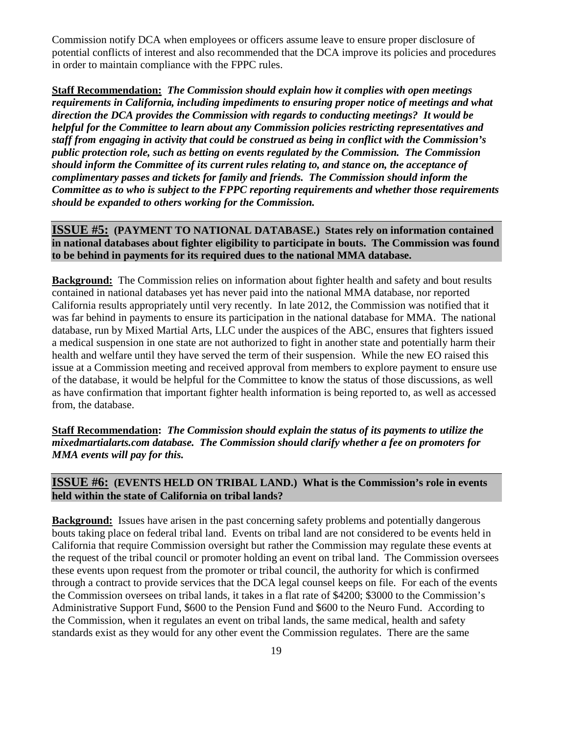Commission notify DCA when employees or officers assume leave to ensure proper disclosure of potential conflicts of interest and also recommended that the DCA improve its policies and procedures in order to maintain compliance with the FPPC rules.

**Staff Recommendation:** *The Commission should explain how it complies with open meetings requirements in California, including impediments to ensuring proper notice of meetings and what direction the DCA provides the Commission with regards to conducting meetings? It would be helpful for the Committee to learn about any Commission policies restricting representatives and staff from engaging in activity that could be construed as being in conflict with the Commission's public protection role, such as betting on events regulated by the Commission. The Commission should inform the Committee of its current rules relating to, and stance on, the acceptance of complimentary passes and tickets for family and friends. The Commission should inform the Committee as to who is subject to the FPPC reporting requirements and whether those requirements should be expanded to others working for the Commission.*

**ISSUE #5: (PAYMENT TO NATIONAL DATABASE.) States rely on information contained in national databases about fighter eligibility to participate in bouts. The Commission was found to be behind in payments for its required dues to the national MMA database.** 

**Background:** The Commission relies on information about fighter health and safety and bout results contained in national databases yet has never paid into the national MMA database, nor reported California results appropriately until very recently. In late 2012, the Commission was notified that it was far behind in payments to ensure its participation in the national database for MMA. The national database, run by Mixed Martial Arts, LLC under the auspices of the ABC, ensures that fighters issued a medical suspension in one state are not authorized to fight in another state and potentially harm their health and welfare until they have served the term of their suspension. While the new EO raised this issue at a Commission meeting and received approval from members to explore payment to ensure use of the database, it would be helpful for the Committee to know the status of those discussions, as well as have confirmation that important fighter health information is being reported to, as well as accessed from, the database.

**Staff Recommendation:** *The Commission should explain the status of its payments to utilize the mixedmartialarts.com database. The Commission should clarify whether a fee on promoters for MMA events will pay for this.*

#### **ISSUE #6: (EVENTS HELD ON TRIBAL LAND.) What is the Commission's role in events held within the state of California on tribal lands?**

**Background:** Issues have arisen in the past concerning safety problems and potentially dangerous bouts taking place on federal tribal land. Events on tribal land are not considered to be events held in California that require Commission oversight but rather the Commission may regulate these events at the request of the tribal council or promoter holding an event on tribal land. The Commission oversees these events upon request from the promoter or tribal council, the authority for which is confirmed through a contract to provide services that the DCA legal counsel keeps on file. For each of the events the Commission oversees on tribal lands, it takes in a flat rate of \$4200; \$3000 to the Commission's Administrative Support Fund, \$600 to the Pension Fund and \$600 to the Neuro Fund. According to the Commission, when it regulates an event on tribal lands, the same medical, health and safety standards exist as they would for any other event the Commission regulates. There are the same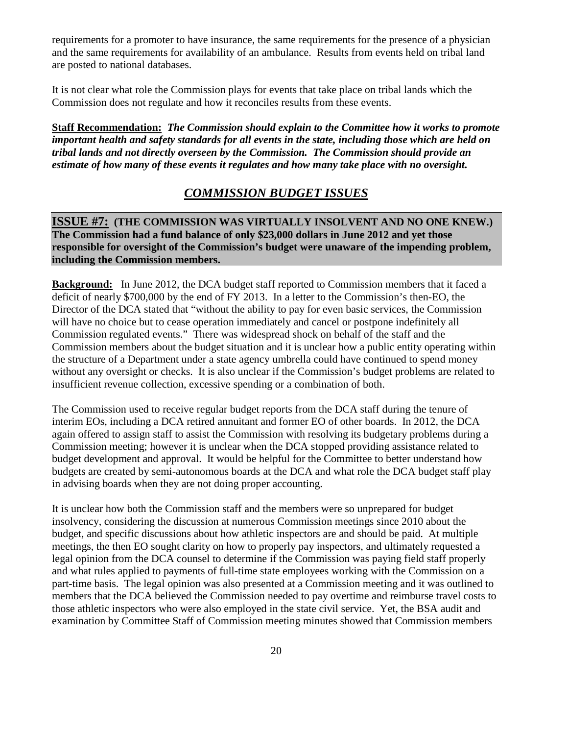requirements for a promoter to have insurance, the same requirements for the presence of a physician and the same requirements for availability of an ambulance. Results from events held on tribal land are posted to national databases.

It is not clear what role the Commission plays for events that take place on tribal lands which the Commission does not regulate and how it reconciles results from these events.

**Staff Recommendation:** *The Commission should explain to the Committee how it works to promote important health and safety standards for all events in the state, including those which are held on tribal lands and not directly overseen by the Commission. The Commission should provide an estimate of how many of these events it regulates and how many take place with no oversight.* 

#### *COMMISSION BUDGET ISSUES*

#### **ISSUE #7: (THE COMMISSION WAS VIRTUALLY INSOLVENT AND NO ONE KNEW.) The Commission had a fund balance of only \$23,000 dollars in June 2012 and yet those responsible for oversight of the Commission's budget were unaware of the impending problem, including the Commission members.**

**Background:** In June 2012, the DCA budget staff reported to Commission members that it faced a deficit of nearly \$700,000 by the end of FY 2013. In a letter to the Commission's then-EO, the Director of the DCA stated that "without the ability to pay for even basic services, the Commission will have no choice but to cease operation immediately and cancel or postpone indefinitely all Commission regulated events." There was widespread shock on behalf of the staff and the Commission members about the budget situation and it is unclear how a public entity operating within the structure of a Department under a state agency umbrella could have continued to spend money without any oversight or checks. It is also unclear if the Commission's budget problems are related to insufficient revenue collection, excessive spending or a combination of both.

The Commission used to receive regular budget reports from the DCA staff during the tenure of interim EOs, including a DCA retired annuitant and former EO of other boards. In 2012, the DCA again offered to assign staff to assist the Commission with resolving its budgetary problems during a Commission meeting; however it is unclear when the DCA stopped providing assistance related to budget development and approval. It would be helpful for the Committee to better understand how budgets are created by semi-autonomous boards at the DCA and what role the DCA budget staff play in advising boards when they are not doing proper accounting.

It is unclear how both the Commission staff and the members were so unprepared for budget insolvency, considering the discussion at numerous Commission meetings since 2010 about the budget, and specific discussions about how athletic inspectors are and should be paid. At multiple meetings, the then EO sought clarity on how to properly pay inspectors, and ultimately requested a legal opinion from the DCA counsel to determine if the Commission was paying field staff properly and what rules applied to payments of full-time state employees working with the Commission on a part-time basis. The legal opinion was also presented at a Commission meeting and it was outlined to members that the DCA believed the Commission needed to pay overtime and reimburse travel costs to those athletic inspectors who were also employed in the state civil service. Yet, the BSA audit and examination by Committee Staff of Commission meeting minutes showed that Commission members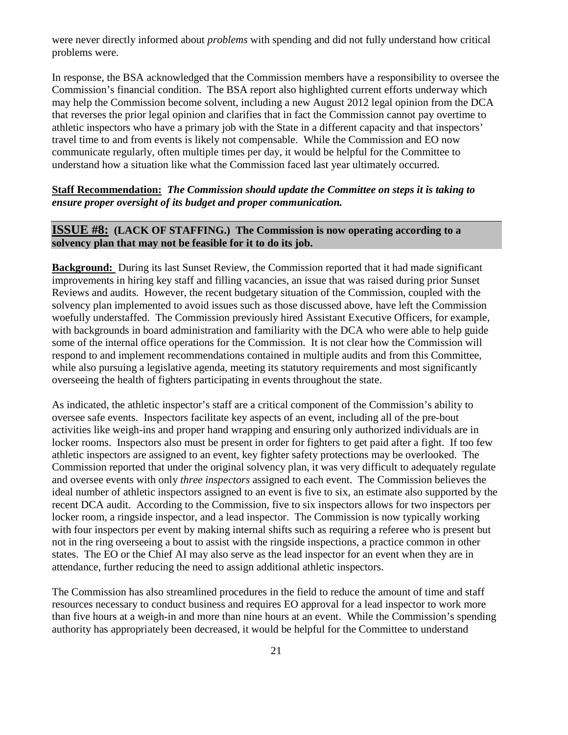were never directly informed about *problems* with spending and did not fully understand how critical problems were.

In response, the BSA acknowledged that the Commission members have a responsibility to oversee the Commission's financial condition. The BSA report also highlighted current efforts underway which may help the Commission become solvent, including a new August 2012 legal opinion from the DCA that reverses the prior legal opinion and clarifies that in fact the Commission cannot pay overtime to athletic inspectors who have a primary job with the State in a different capacity and that inspectors' travel time to and from events is likely not compensable. While the Commission and EO now communicate regularly, often multiple times per day, it would be helpful for the Committee to understand how a situation like what the Commission faced last year ultimately occurred.

#### **Staff Recommendation:** *The Commission should update the Committee on steps it is taking to ensure proper oversight of its budget and proper communication.*

#### **ISSUE #8: (LACK OF STAFFING.) The Commission is now operating according to a solvency plan that may not be feasible for it to do its job.**

**Background:** During its last Sunset Review, the Commission reported that it had made significant improvements in hiring key staff and filling vacancies, an issue that was raised during prior Sunset Reviews and audits. However, the recent budgetary situation of the Commission, coupled with the solvency plan implemented to avoid issues such as those discussed above, have left the Commission woefully understaffed. The Commission previously hired Assistant Executive Officers, for example, with backgrounds in board administration and familiarity with the DCA who were able to help guide some of the internal office operations for the Commission. It is not clear how the Commission will respond to and implement recommendations contained in multiple audits and from this Committee, while also pursuing a legislative agenda, meeting its statutory requirements and most significantly overseeing the health of fighters participating in events throughout the state.

As indicated, the athletic inspector's staff are a critical component of the Commission's ability to oversee safe events. Inspectors facilitate key aspects of an event, including all of the pre-bout activities like weigh-ins and proper hand wrapping and ensuring only authorized individuals are in locker rooms. Inspectors also must be present in order for fighters to get paid after a fight. If too few athletic inspectors are assigned to an event, key fighter safety protections may be overlooked. The Commission reported that under the original solvency plan, it was very difficult to adequately regulate and oversee events with only *three inspectors* assigned to each event. The Commission believes the ideal number of athletic inspectors assigned to an event is five to six, an estimate also supported by the recent DCA audit. According to the Commission, five to six inspectors allows for two inspectors per locker room, a ringside inspector, and a lead inspector. The Commission is now typically working with four inspectors per event by making internal shifts such as requiring a referee who is present but not in the ring overseeing a bout to assist with the ringside inspections, a practice common in other states. The EO or the Chief AI may also serve as the lead inspector for an event when they are in attendance, further reducing the need to assign additional athletic inspectors.

The Commission has also streamlined procedures in the field to reduce the amount of time and staff resources necessary to conduct business and requires EO approval for a lead inspector to work more than five hours at a weigh-in and more than nine hours at an event. While the Commission's spending authority has appropriately been decreased, it would be helpful for the Committee to understand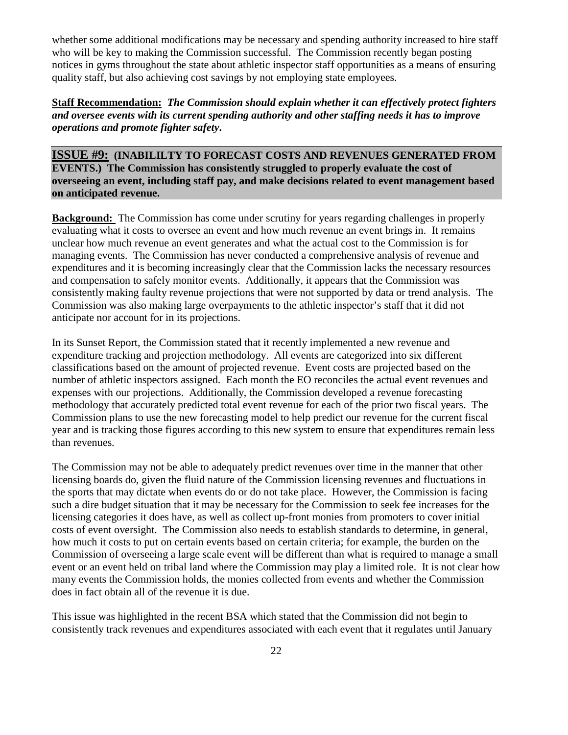whether some additional modifications may be necessary and spending authority increased to hire staff who will be key to making the Commission successful. The Commission recently began posting notices in gyms throughout the state about athletic inspector staff opportunities as a means of ensuring quality staff, but also achieving cost savings by not employing state employees.

**Staff Recommendation:** *The Commission should explain whether it can effectively protect fighters and oversee events with its current spending authority and other staffing needs it has to improve operations and promote fighter safety***.** 

**ISSUE #9: (INABILILTY TO FORECAST COSTS AND REVENUES GENERATED FROM EVENTS.) The Commission has consistently struggled to properly evaluate the cost of overseeing an event, including staff pay, and make decisions related to event management based on anticipated revenue.** 

**Background:** The Commission has come under scrutiny for years regarding challenges in properly evaluating what it costs to oversee an event and how much revenue an event brings in. It remains unclear how much revenue an event generates and what the actual cost to the Commission is for managing events. The Commission has never conducted a comprehensive analysis of revenue and expenditures and it is becoming increasingly clear that the Commission lacks the necessary resources and compensation to safely monitor events. Additionally, it appears that the Commission was consistently making faulty revenue projections that were not supported by data or trend analysis. The Commission was also making large overpayments to the athletic inspector's staff that it did not anticipate nor account for in its projections.

In its Sunset Report, the Commission stated that it recently implemented a new revenue and expenditure tracking and projection methodology. All events are categorized into six different classifications based on the amount of projected revenue. Event costs are projected based on the number of athletic inspectors assigned. Each month the EO reconciles the actual event revenues and expenses with our projections. Additionally, the Commission developed a revenue forecasting methodology that accurately predicted total event revenue for each of the prior two fiscal years. The Commission plans to use the new forecasting model to help predict our revenue for the current fiscal year and is tracking those figures according to this new system to ensure that expenditures remain less than revenues.

The Commission may not be able to adequately predict revenues over time in the manner that other licensing boards do, given the fluid nature of the Commission licensing revenues and fluctuations in the sports that may dictate when events do or do not take place. However, the Commission is facing such a dire budget situation that it may be necessary for the Commission to seek fee increases for the licensing categories it does have, as well as collect up-front monies from promoters to cover initial costs of event oversight. The Commission also needs to establish standards to determine, in general, how much it costs to put on certain events based on certain criteria; for example, the burden on the Commission of overseeing a large scale event will be different than what is required to manage a small event or an event held on tribal land where the Commission may play a limited role. It is not clear how many events the Commission holds, the monies collected from events and whether the Commission does in fact obtain all of the revenue it is due.

This issue was highlighted in the recent BSA which stated that the Commission did not begin to consistently track revenues and expenditures associated with each event that it regulates until January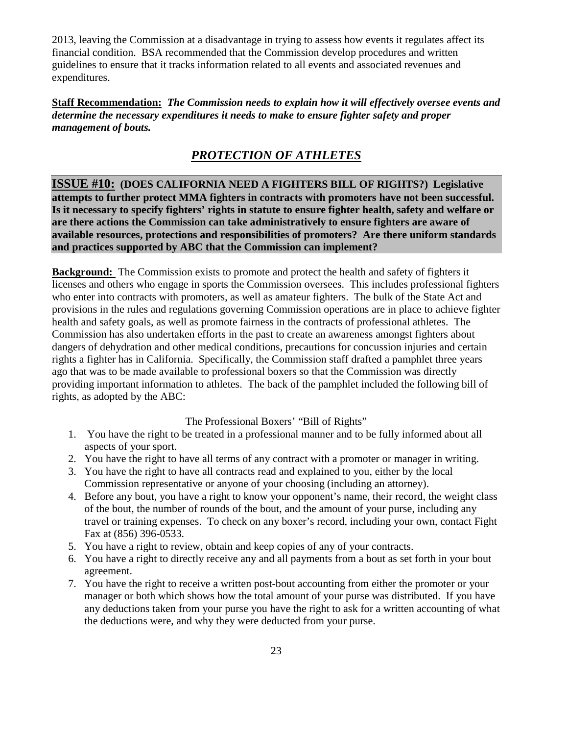2013, leaving the Commission at a disadvantage in trying to assess how events it regulates affect its financial condition. BSA recommended that the Commission develop procedures and written guidelines to ensure that it tracks information related to all events and associated revenues and expenditures.

**Staff Recommendation:** *The Commission needs to explain how it will effectively oversee events and determine the necessary expenditures it needs to make to ensure fighter safety and proper management of bouts.*

# *PROTECTION OF ATHLETES*

**ISSUE #10: (DOES CALIFORNIA NEED A FIGHTERS BILL OF RIGHTS?) Legislative attempts to further protect MMA fighters in contracts with promoters have not been successful. Is it necessary to specify fighters' rights in statute to ensure fighter health, safety and welfare or are there actions the Commission can take administratively to ensure fighters are aware of available resources, protections and responsibilities of promoters? Are there uniform standards and practices supported by ABC that the Commission can implement?** 

**Background:** The Commission exists to promote and protect the health and safety of fighters it licenses and others who engage in sports the Commission oversees. This includes professional fighters who enter into contracts with promoters, as well as amateur fighters. The bulk of the State Act and provisions in the rules and regulations governing Commission operations are in place to achieve fighter health and safety goals, as well as promote fairness in the contracts of professional athletes. The Commission has also undertaken efforts in the past to create an awareness amongst fighters about dangers of dehydration and other medical conditions, precautions for concussion injuries and certain rights a fighter has in California. Specifically, the Commission staff drafted a pamphlet three years ago that was to be made available to professional boxers so that the Commission was directly providing important information to athletes. The back of the pamphlet included the following bill of rights, as adopted by the ABC:

The Professional Boxers' "Bill of Rights"

- 1. You have the right to be treated in a professional manner and to be fully informed about all aspects of your sport.
- 2. You have the right to have all terms of any contract with a promoter or manager in writing.
- 3. You have the right to have all contracts read and explained to you, either by the local Commission representative or anyone of your choosing (including an attorney).
- 4. Before any bout, you have a right to know your opponent's name, their record, the weight class of the bout, the number of rounds of the bout, and the amount of your purse, including any travel or training expenses. To check on any boxer's record, including your own, contact Fight Fax at (856) 396-0533.
- 5. You have a right to review, obtain and keep copies of any of your contracts.
- 6. You have a right to directly receive any and all payments from a bout as set forth in your bout agreement.
- 7. You have the right to receive a written post-bout accounting from either the promoter or your manager or both which shows how the total amount of your purse was distributed. If you have any deductions taken from your purse you have the right to ask for a written accounting of what the deductions were, and why they were deducted from your purse.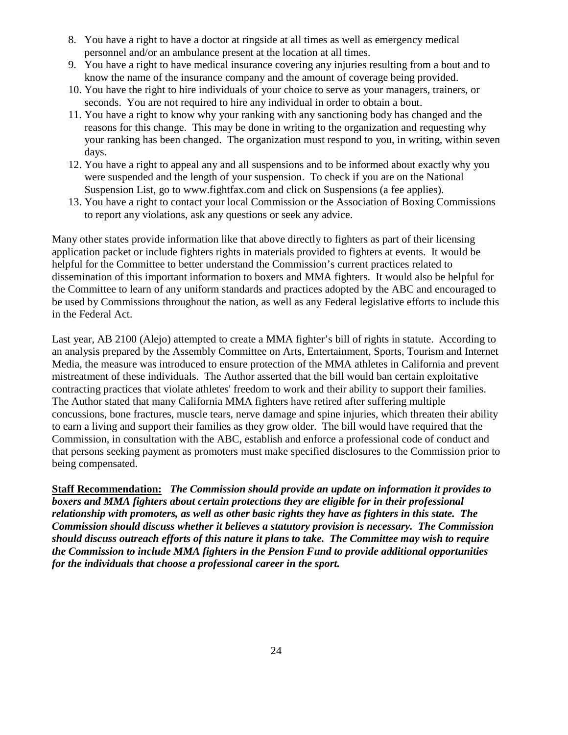- 8. You have a right to have a doctor at ringside at all times as well as emergency medical personnel and/or an ambulance present at the location at all times.
- 9. You have a right to have medical insurance covering any injuries resulting from a bout and to know the name of the insurance company and the amount of coverage being provided.
- 10. You have the right to hire individuals of your choice to serve as your managers, trainers, or seconds. You are not required to hire any individual in order to obtain a bout.
- 11. You have a right to know why your ranking with any sanctioning body has changed and the reasons for this change. This may be done in writing to the organization and requesting why your ranking has been changed. The organization must respond to you, in writing, within seven days.
- 12. You have a right to appeal any and all suspensions and to be informed about exactly why you were suspended and the length of your suspension. To check if you are on the National Suspension List, go to www.fightfax.com and click on Suspensions (a fee applies).
- 13. You have a right to contact your local Commission or the Association of Boxing Commissions to report any violations, ask any questions or seek any advice.

Many other states provide information like that above directly to fighters as part of their licensing application packet or include fighters rights in materials provided to fighters at events. It would be helpful for the Committee to better understand the Commission's current practices related to dissemination of this important information to boxers and MMA fighters. It would also be helpful for the Committee to learn of any uniform standards and practices adopted by the ABC and encouraged to be used by Commissions throughout the nation, as well as any Federal legislative efforts to include this in the Federal Act.

Last year, AB 2100 (Alejo) attempted to create a MMA fighter's bill of rights in statute. According to an analysis prepared by the Assembly Committee on Arts, Entertainment, Sports, Tourism and Internet Media, the measure was introduced to ensure protection of the MMA athletes in California and prevent mistreatment of these individuals. The Author asserted that the bill would ban certain exploitative contracting practices that violate athletes' freedom to work and their ability to support their families. The Author stated that many California MMA fighters have retired after suffering multiple concussions, bone fractures, muscle tears, nerve damage and spine injuries, which threaten their ability to earn a living and support their families as they grow older. The bill would have required that the Commission, in consultation with the ABC, establish and enforce a professional code of conduct and that persons seeking payment as promoters must make specified disclosures to the Commission prior to being compensated.

**Staff Recommendation:** *The Commission should provide an update on information it provides to boxers and MMA fighters about certain protections they are eligible for in their professional relationship with promoters, as well as other basic rights they have as fighters in this state. The Commission should discuss whether it believes a statutory provision is necessary. The Commission should discuss outreach efforts of this nature it plans to take. The Committee may wish to require the Commission to include MMA fighters in the Pension Fund to provide additional opportunities for the individuals that choose a professional career in the sport.*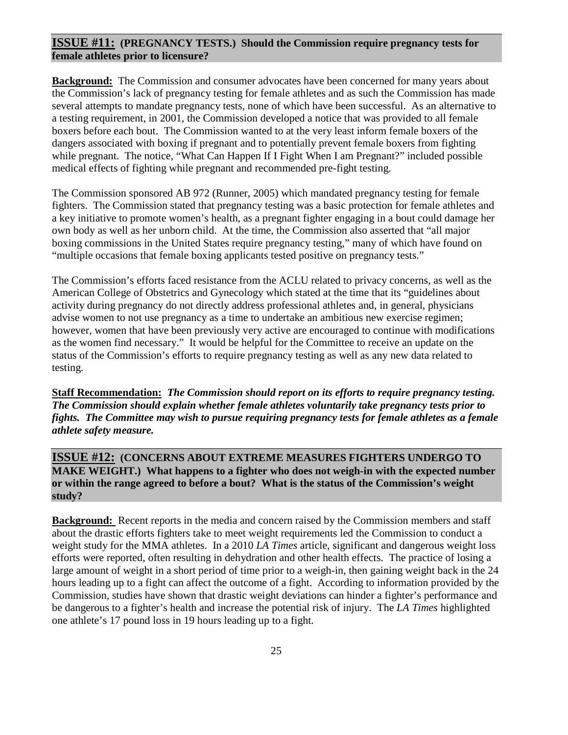#### **ISSUE #11: (PREGNANCY TESTS.) Should the Commission require pregnancy tests for female athletes prior to licensure?**

**Background:** The Commission and consumer advocates have been concerned for many years about the Commission's lack of pregnancy testing for female athletes and as such the Commission has made several attempts to mandate pregnancy tests, none of which have been successful. As an alternative to a testing requirement, in 2001, the Commission developed a notice that was provided to all female boxers before each bout. The Commission wanted to at the very least inform female boxers of the dangers associated with boxing if pregnant and to potentially prevent female boxers from fighting while pregnant. The notice, "What Can Happen If I Fight When I am Pregnant?" included possible medical effects of fighting while pregnant and recommended pre-fight testing.

The Commission sponsored AB 972 (Runner, 2005) which mandated pregnancy testing for female fighters. The Commission stated that pregnancy testing was a basic protection for female athletes and a key initiative to promote women's health, as a pregnant fighter engaging in a bout could damage her own body as well as her unborn child. At the time, the Commission also asserted that "all major boxing commissions in the United States require pregnancy testing," many of which have found on "multiple occasions that female boxing applicants tested positive on pregnancy tests."

The Commission's efforts faced resistance from the ACLU related to privacy concerns, as well as the American College of Obstetrics and Gynecology which stated at the time that its "guidelines about activity during pregnancy do not directly address professional athletes and, in general, physicians advise women to not use pregnancy as a time to undertake an ambitious new exercise regimen; however, women that have been previously very active are encouraged to continue with modifications as the women find necessary." It would be helpful for the Committee to receive an update on the status of the Commission's efforts to require pregnancy testing as well as any new data related to testing.

**Staff Recommendation:** *The Commission should report on its efforts to require pregnancy testing. The Commission should explain whether female athletes voluntarily take pregnancy tests prior to fights. The Committee may wish to pursue requiring pregnancy tests for female athletes as a female athlete safety measure.*

**ISSUE #12: (CONCERNS ABOUT EXTREME MEASURES FIGHTERS UNDERGO TO MAKE WEIGHT.) What happens to a fighter who does not weigh-in with the expected number or within the range agreed to before a bout? What is the status of the Commission's weight study?** 

**Background:** Recent reports in the media and concern raised by the Commission members and staff about the drastic efforts fighters take to meet weight requirements led the Commission to conduct a weight study for the MMA athletes. In a 2010 *LA Times* article, significant and dangerous weight loss efforts were reported, often resulting in dehydration and other health effects. The practice of losing a large amount of weight in a short period of time prior to a weigh-in, then gaining weight back in the 24 hours leading up to a fight can affect the outcome of a fight. According to information provided by the Commission, studies have shown that drastic weight deviations can hinder a fighter's performance and be dangerous to a fighter's health and increase the potential risk of injury. The *LA Times* highlighted one athlete's 17 pound loss in 19 hours leading up to a fight.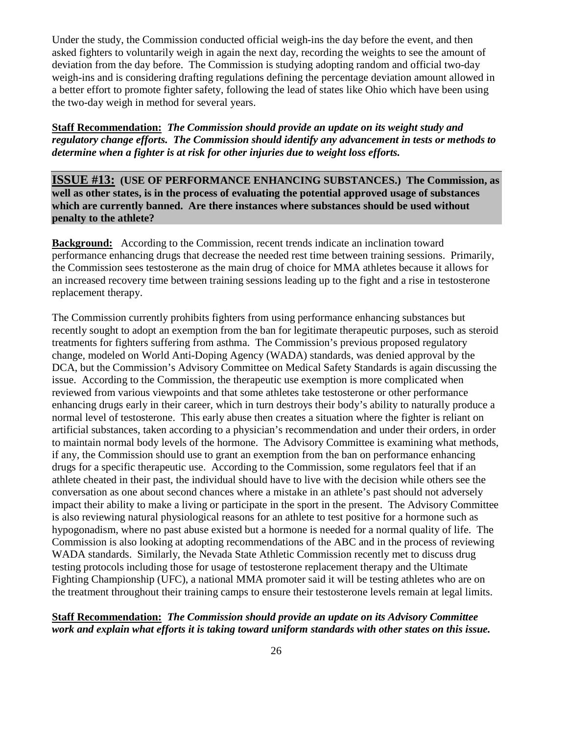Under the study, the Commission conducted official weigh-ins the day before the event, and then asked fighters to voluntarily weigh in again the next day, recording the weights to see the amount of deviation from the day before. The Commission is studying adopting random and official two-day weigh-ins and is considering drafting regulations defining the percentage deviation amount allowed in a better effort to promote fighter safety, following the lead of states like Ohio which have been using the two-day weigh in method for several years.

**Staff Recommendation:** *The Commission should provide an update on its weight study and regulatory change efforts. The Commission should identify any advancement in tests or methods to determine when a fighter is at risk for other injuries due to weight loss efforts.*

**ISSUE #13: (USE OF PERFORMANCE ENHANCING SUBSTANCES.) The Commission, as well as other states, is in the process of evaluating the potential approved usage of substances which are currently banned. Are there instances where substances should be used without penalty to the athlete?** 

**Background:** According to the Commission, recent trends indicate an inclination toward performance enhancing drugs that decrease the needed rest time between training sessions. Primarily, the Commission sees testosterone as the main drug of choice for MMA athletes because it allows for an increased recovery time between training sessions leading up to the fight and a rise in testosterone replacement therapy.

The Commission currently prohibits fighters from using performance enhancing substances but recently sought to adopt an exemption from the ban for legitimate therapeutic purposes, such as steroid treatments for fighters suffering from asthma. The Commission's previous proposed regulatory change, modeled on World Anti-Doping Agency (WADA) standards, was denied approval by the DCA, but the Commission's Advisory Committee on Medical Safety Standards is again discussing the issue. According to the Commission, the therapeutic use exemption is more complicated when reviewed from various viewpoints and that some athletes take testosterone or other performance enhancing drugs early in their career, which in turn destroys their body's ability to naturally produce a normal level of testosterone. This early abuse then creates a situation where the fighter is reliant on artificial substances, taken according to a physician's recommendation and under their orders, in order to maintain normal body levels of the hormone. The Advisory Committee is examining what methods, if any, the Commission should use to grant an exemption from the ban on performance enhancing drugs for a specific therapeutic use. According to the Commission, some regulators feel that if an athlete cheated in their past, the individual should have to live with the decision while others see the conversation as one about second chances where a mistake in an athlete's past should not adversely impact their ability to make a living or participate in the sport in the present. The Advisory Committee is also reviewing natural physiological reasons for an athlete to test positive for a hormone such as hypogonadism, where no past abuse existed but a hormone is needed for a normal quality of life. The Commission is also looking at adopting recommendations of the ABC and in the process of reviewing WADA standards. Similarly, the Nevada State Athletic Commission recently met to discuss drug testing protocols including those for usage of testosterone replacement therapy and the Ultimate Fighting Championship (UFC), a national MMA promoter said it will be testing athletes who are on the treatment throughout their training camps to ensure their testosterone levels remain at legal limits.

#### **Staff Recommendation:** *The Commission should provide an update on its Advisory Committee work and explain what efforts it is taking toward uniform standards with other states on this issue.*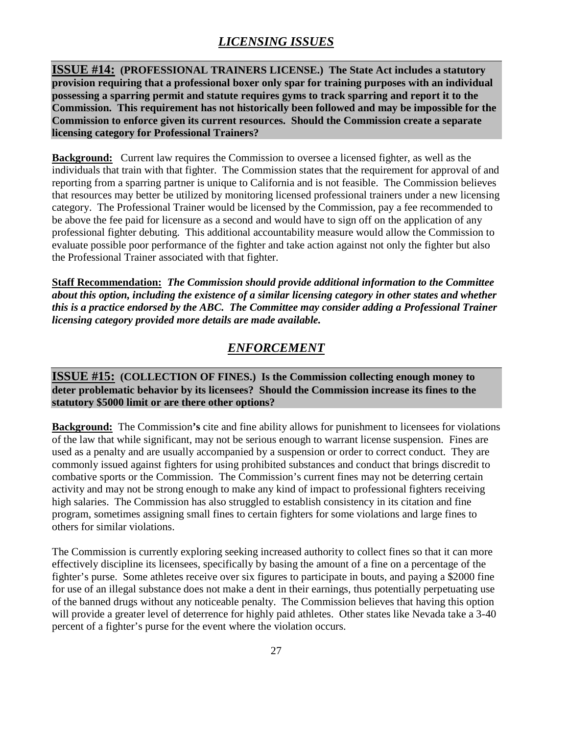# *LICENSING ISSUES*

**ISSUE #14: (PROFESSIONAL TRAINERS LICENSE.) The State Act includes a statutory provision requiring that a professional boxer only spar for training purposes with an individual possessing a sparring permit and statute requires gyms to track sparring and report it to the Commission. This requirement has not historically been followed and may be impossible for the Commission to enforce given its current resources. Should the Commission create a separate licensing category for Professional Trainers?** 

**Background:** Current law requires the Commission to oversee a licensed fighter, as well as the individuals that train with that fighter. The Commission states that the requirement for approval of and reporting from a sparring partner is unique to California and is not feasible. The Commission believes that resources may better be utilized by monitoring licensed professional trainers under a new licensing category. The Professional Trainer would be licensed by the Commission, pay a fee recommended to be above the fee paid for licensure as a second and would have to sign off on the application of any professional fighter debuting. This additional accountability measure would allow the Commission to evaluate possible poor performance of the fighter and take action against not only the fighter but also the Professional Trainer associated with that fighter.

**Staff Recommendation:** *The Commission should provide additional information to the Committee about this option, including the existence of a similar licensing category in other states and whether this is a practice endorsed by the ABC. The Committee may consider adding a Professional Trainer licensing category provided more details are made available.* 

## *ENFORCEMENT*

**ISSUE #15: (COLLECTION OF FINES.) Is the Commission collecting enough money to deter problematic behavior by its licensees? Should the Commission increase its fines to the statutory \$5000 limit or are there other options?** 

**Background:** The Commission's cite and fine ability allows for punishment to licensees for violations of the law that while significant, may not be serious enough to warrant license suspension. Fines are used as a penalty and are usually accompanied by a suspension or order to correct conduct. They are commonly issued against fighters for using prohibited substances and conduct that brings discredit to combative sports or the Commission. The Commission's current fines may not be deterring certain activity and may not be strong enough to make any kind of impact to professional fighters receiving high salaries. The Commission has also struggled to establish consistency in its citation and fine program, sometimes assigning small fines to certain fighters for some violations and large fines to others for similar violations.

The Commission is currently exploring seeking increased authority to collect fines so that it can more effectively discipline its licensees, specifically by basing the amount of a fine on a percentage of the fighter's purse. Some athletes receive over six figures to participate in bouts, and paying a \$2000 fine for use of an illegal substance does not make a dent in their earnings, thus potentially perpetuating use of the banned drugs without any noticeable penalty. The Commission believes that having this option will provide a greater level of deterrence for highly paid athletes. Other states like Nevada take a 3-40 percent of a fighter's purse for the event where the violation occurs.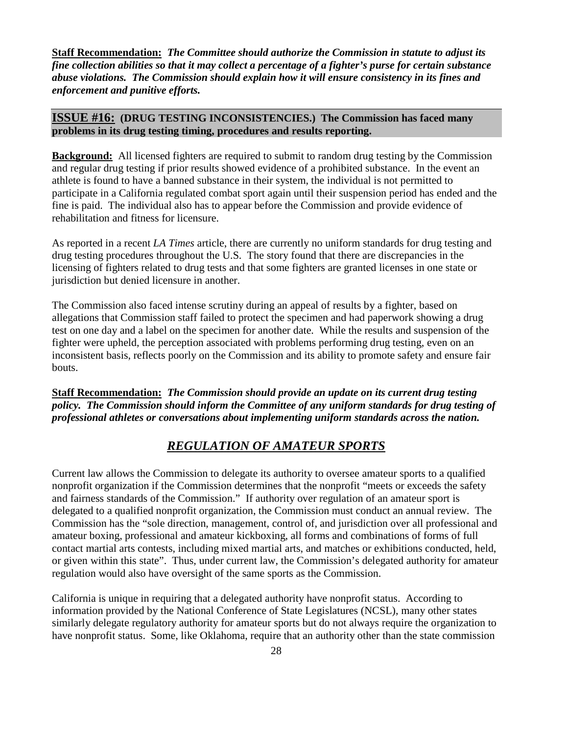**Staff Recommendation:** *The Committee should authorize the Commission in statute to adjust its fine collection abilities so that it may collect a percentage of a fighter's purse for certain substance abuse violations. The Commission should explain how it will ensure consistency in its fines and enforcement and punitive efforts.* 

#### **ISSUE #16: (DRUG TESTING INCONSISTENCIES.) The Commission has faced many problems in its drug testing timing, procedures and results reporting.**

**Background:** All licensed fighters are required to submit to random drug testing by the Commission and regular drug testing if prior results showed evidence of a prohibited substance. In the event an athlete is found to have a banned substance in their system, the individual is not permitted to participate in a California regulated combat sport again until their suspension period has ended and the fine is paid. The individual also has to appear before the Commission and provide evidence of rehabilitation and fitness for licensure.

As reported in a recent *LA Times* article, there are currently no uniform standards for drug testing and drug testing procedures throughout the U.S. The story found that there are discrepancies in the licensing of fighters related to drug tests and that some fighters are granted licenses in one state or jurisdiction but denied licensure in another.

The Commission also faced intense scrutiny during an appeal of results by a fighter, based on allegations that Commission staff failed to protect the specimen and had paperwork showing a drug test on one day and a label on the specimen for another date. While the results and suspension of the fighter were upheld, the perception associated with problems performing drug testing, even on an inconsistent basis, reflects poorly on the Commission and its ability to promote safety and ensure fair bouts.

**Staff Recommendation:** *The Commission should provide an update on its current drug testing policy. The Commission should inform the Committee of any uniform standards for drug testing of professional athletes or conversations about implementing uniform standards across the nation.* 

## *REGULATION OF AMATEUR SPORTS*

Current law allows the Commission to delegate its authority to oversee amateur sports to a qualified nonprofit organization if the Commission determines that the nonprofit "meets or exceeds the safety and fairness standards of the Commission." If authority over regulation of an amateur sport is delegated to a qualified nonprofit organization, the Commission must conduct an annual review. The Commission has the "sole direction, management, control of, and jurisdiction over all professional and amateur boxing, professional and amateur kickboxing, all forms and combinations of forms of full contact martial arts contests, including mixed martial arts, and matches or exhibitions conducted, held, or given within this state". Thus, under current law, the Commission's delegated authority for amateur regulation would also have oversight of the same sports as the Commission.

California is unique in requiring that a delegated authority have nonprofit status. According to information provided by the National Conference of State Legislatures (NCSL), many other states similarly delegate regulatory authority for amateur sports but do not always require the organization to have nonprofit status. Some, like Oklahoma, require that an authority other than the state commission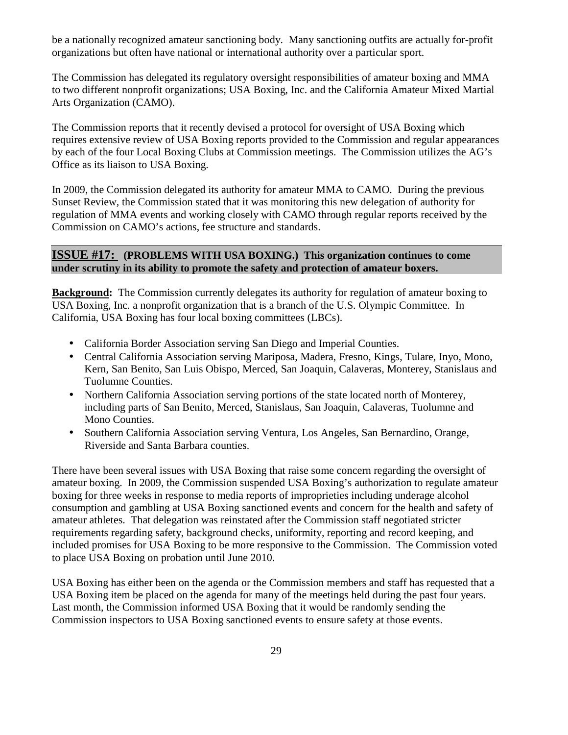be a nationally recognized amateur sanctioning body. Many sanctioning outfits are actually for-profit organizations but often have national or international authority over a particular sport.

The Commission has delegated its regulatory oversight responsibilities of amateur boxing and MMA to two different nonprofit organizations; USA Boxing, Inc. and the California Amateur Mixed Martial Arts Organization (CAMO).

The Commission reports that it recently devised a protocol for oversight of USA Boxing which requires extensive review of USA Boxing reports provided to the Commission and regular appearances by each of the four Local Boxing Clubs at Commission meetings. The Commission utilizes the AG's Office as its liaison to USA Boxing.

In 2009, the Commission delegated its authority for amateur MMA to CAMO. During the previous Sunset Review, the Commission stated that it was monitoring this new delegation of authority for regulation of MMA events and working closely with CAMO through regular reports received by the Commission on CAMO's actions, fee structure and standards.

#### **ISSUE #17: (PROBLEMS WITH USA BOXING.) This organization continues to come under scrutiny in its ability to promote the safety and protection of amateur boxers.**

**Background:** The Commission currently delegates its authority for regulation of amateur boxing to USA Boxing, Inc. a nonprofit organization that is a branch of the U.S. Olympic Committee. In California, USA Boxing has four local boxing committees (LBCs).

- California Border Association serving San Diego and Imperial Counties.
- Central California Association serving Mariposa, Madera, Fresno, Kings, Tulare, Inyo, Mono, Kern, San Benito, San Luis Obispo, Merced, San Joaquin, Calaveras, Monterey, Stanislaus and Tuolumne Counties.
- Northern California Association serving portions of the state located north of Monterey, including parts of San Benito, Merced, Stanislaus, San Joaquin, Calaveras, Tuolumne and Mono Counties.
- Southern California Association serving Ventura, Los Angeles, San Bernardino, Orange, Riverside and Santa Barbara counties.

There have been several issues with USA Boxing that raise some concern regarding the oversight of amateur boxing. In 2009, the Commission suspended USA Boxing's authorization to regulate amateur boxing for three weeks in response to media reports of improprieties including underage alcohol consumption and gambling at USA Boxing sanctioned events and concern for the health and safety of amateur athletes. That delegation was reinstated after the Commission staff negotiated stricter requirements regarding safety, background checks, uniformity, reporting and record keeping, and included promises for USA Boxing to be more responsive to the Commission. The Commission voted to place USA Boxing on probation until June 2010.

USA Boxing has either been on the agenda or the Commission members and staff has requested that a USA Boxing item be placed on the agenda for many of the meetings held during the past four years. Last month, the Commission informed USA Boxing that it would be randomly sending the Commission inspectors to USA Boxing sanctioned events to ensure safety at those events.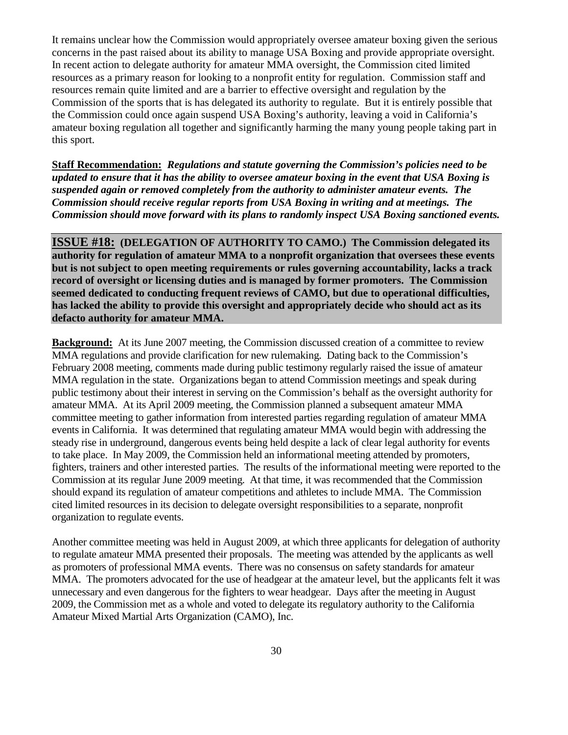It remains unclear how the Commission would appropriately oversee amateur boxing given the serious concerns in the past raised about its ability to manage USA Boxing and provide appropriate oversight. In recent action to delegate authority for amateur MMA oversight, the Commission cited limited resources as a primary reason for looking to a nonprofit entity for regulation. Commission staff and resources remain quite limited and are a barrier to effective oversight and regulation by the Commission of the sports that is has delegated its authority to regulate. But it is entirely possible that the Commission could once again suspend USA Boxing's authority, leaving a void in California's amateur boxing regulation all together and significantly harming the many young people taking part in this sport.

**Staff Recommendation:** *Regulations and statute governing the Commission's policies need to be updated to ensure that it has the ability to oversee amateur boxing in the event that USA Boxing is suspended again or removed completely from the authority to administer amateur events. The Commission should receive regular reports from USA Boxing in writing and at meetings. The Commission should move forward with its plans to randomly inspect USA Boxing sanctioned events.* 

**ISSUE #18: (DELEGATION OF AUTHORITY TO CAMO.) The Commission delegated its authority for regulation of amateur MMA to a nonprofit organization that oversees these events but is not subject to open meeting requirements or rules governing accountability, lacks a track record of oversight or licensing duties and is managed by former promoters. The Commission seemed dedicated to conducting frequent reviews of CAMO, but due to operational difficulties, has lacked the ability to provide this oversight and appropriately decide who should act as its defacto authority for amateur MMA.**

**Background:** At its June 2007 meeting, the Commission discussed creation of a committee to review MMA regulations and provide clarification for new rulemaking. Dating back to the Commission's February 2008 meeting, comments made during public testimony regularly raised the issue of amateur MMA regulation in the state. Organizations began to attend Commission meetings and speak during public testimony about their interest in serving on the Commission's behalf as the oversight authority for amateur MMA. At its April 2009 meeting, the Commission planned a subsequent amateur MMA committee meeting to gather information from interested parties regarding regulation of amateur MMA events in California. It was determined that regulating amateur MMA would begin with addressing the steady rise in underground, dangerous events being held despite a lack of clear legal authority for events to take place. In May 2009, the Commission held an informational meeting attended by promoters, fighters, trainers and other interested parties. The results of the informational meeting were reported to the Commission at its regular June 2009 meeting. At that time, it was recommended that the Commission should expand its regulation of amateur competitions and athletes to include MMA. The Commission cited limited resources in its decision to delegate oversight responsibilities to a separate, nonprofit organization to regulate events.

Another committee meeting was held in August 2009, at which three applicants for delegation of authority to regulate amateur MMA presented their proposals. The meeting was attended by the applicants as well as promoters of professional MMA events. There was no consensus on safety standards for amateur MMA. The promoters advocated for the use of headgear at the amateur level, but the applicants felt it was unnecessary and even dangerous for the fighters to wear headgear. Days after the meeting in August 2009, the Commission met as a whole and voted to delegate its regulatory authority to the California Amateur Mixed Martial Arts Organization (CAMO), Inc.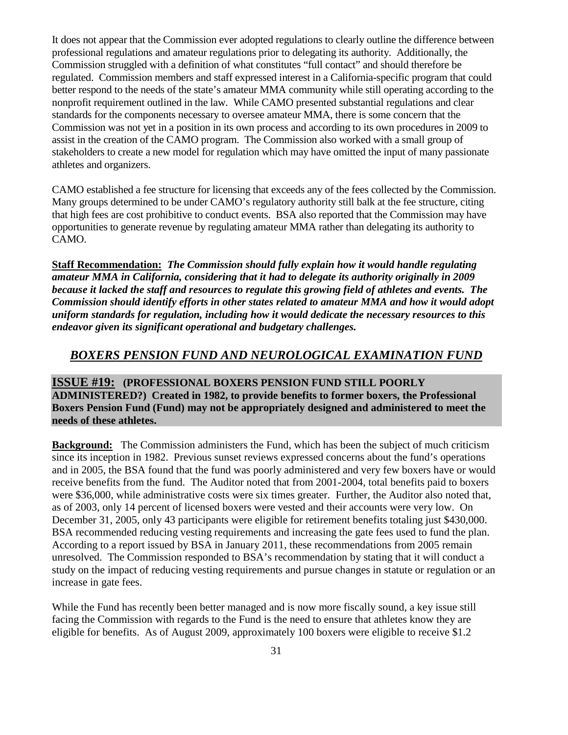It does not appear that the Commission ever adopted regulations to clearly outline the difference between professional regulations and amateur regulations prior to delegating its authority. Additionally, the Commission struggled with a definition of what constitutes "full contact" and should therefore be regulated. Commission members and staff expressed interest in a California-specific program that could better respond to the needs of the state's amateur MMA community while still operating according to the nonprofit requirement outlined in the law. While CAMO presented substantial regulations and clear standards for the components necessary to oversee amateur MMA, there is some concern that the Commission was not yet in a position in its own process and according to its own procedures in 2009 to assist in the creation of the CAMO program. The Commission also worked with a small group of stakeholders to create a new model for regulation which may have omitted the input of many passionate athletes and organizers.

CAMO established a fee structure for licensing that exceeds any of the fees collected by the Commission. Many groups determined to be under CAMO's regulatory authority still balk at the fee structure, citing that high fees are cost prohibitive to conduct events. BSA also reported that the Commission may have opportunities to generate revenue by regulating amateur MMA rather than delegating its authority to CAMO.

**Staff Recommendation:** *The Commission should fully explain how it would handle regulating amateur MMA in California, considering that it had to delegate its authority originally in 2009 because it lacked the staff and resources to regulate this growing field of athletes and events. The Commission should identify efforts in other states related to amateur MMA and how it would adopt uniform standards for regulation, including how it would dedicate the necessary resources to this endeavor given its significant operational and budgetary challenges.* 

#### *BOXERS PENSION FUND AND NEUROLOGICAL EXAMINATION FUND*

**ISSUE #19: (PROFESSIONAL BOXERS PENSION FUND STILL POORLY ADMINISTERED?) Created in 1982, to provide benefits to former boxers, the Professional Boxers Pension Fund (Fund) may not be appropriately designed and administered to meet the needs of these athletes.** 

**Background:** The Commission administers the Fund, which has been the subject of much criticism since its inception in 1982. Previous sunset reviews expressed concerns about the fund's operations and in 2005, the BSA found that the fund was poorly administered and very few boxers have or would receive benefits from the fund. The Auditor noted that from 2001-2004, total benefits paid to boxers were \$36,000, while administrative costs were six times greater. Further, the Auditor also noted that, as of 2003, only 14 percent of licensed boxers were vested and their accounts were very low. On December 31, 2005, only 43 participants were eligible for retirement benefits totaling just \$430,000. BSA recommended reducing vesting requirements and increasing the gate fees used to fund the plan. According to a report issued by BSA in January 2011, these recommendations from 2005 remain unresolved. The Commission responded to BSA's recommendation by stating that it will conduct a study on the impact of reducing vesting requirements and pursue changes in statute or regulation or an increase in gate fees.

While the Fund has recently been better managed and is now more fiscally sound, a key issue still facing the Commission with regards to the Fund is the need to ensure that athletes know they are eligible for benefits. As of August 2009, approximately 100 boxers were eligible to receive \$1.2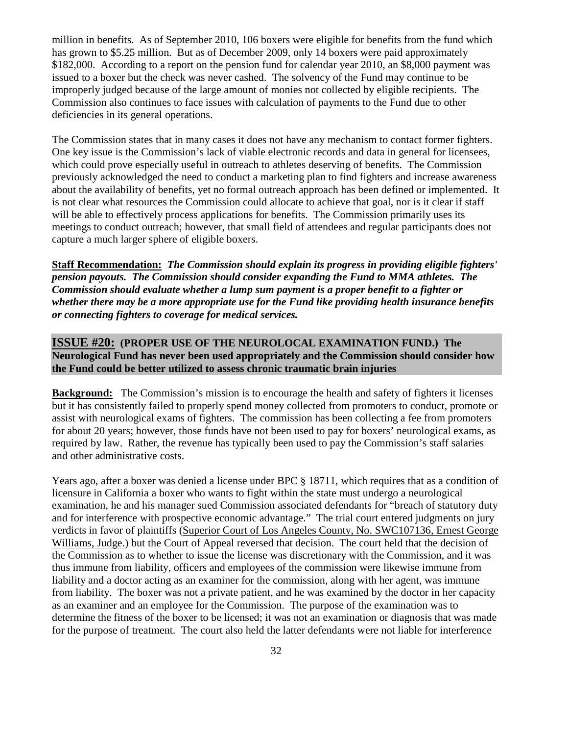million in benefits. As of September 2010, 106 boxers were eligible for benefits from the fund which has grown to \$5.25 million. But as of December 2009, only 14 boxers were paid approximately \$182,000. According to a report on the pension fund for calendar year 2010, an \$8,000 payment was issued to a boxer but the check was never cashed. The solvency of the Fund may continue to be improperly judged because of the large amount of monies not collected by eligible recipients. The Commission also continues to face issues with calculation of payments to the Fund due to other deficiencies in its general operations.

The Commission states that in many cases it does not have any mechanism to contact former fighters. One key issue is the Commission's lack of viable electronic records and data in general for licensees, which could prove especially useful in outreach to athletes deserving of benefits. The Commission previously acknowledged the need to conduct a marketing plan to find fighters and increase awareness about the availability of benefits, yet no formal outreach approach has been defined or implemented. It is not clear what resources the Commission could allocate to achieve that goal, nor is it clear if staff will be able to effectively process applications for benefits. The Commission primarily uses its meetings to conduct outreach; however, that small field of attendees and regular participants does not capture a much larger sphere of eligible boxers.

**Staff Recommendation:** *The Commission should explain its progress in providing eligible fighters' pension payouts. The Commission should consider expanding the Fund to MMA athletes. The Commission should evaluate whether a lump sum payment is a proper benefit to a fighter or whether there may be a more appropriate use for the Fund like providing health insurance benefits or connecting fighters to coverage for medical services.* 

#### **ISSUE #20: (PROPER USE OF THE NEUROLOCAL EXAMINATION FUND.) The Neurological Fund has never been used appropriately and the Commission should consider how the Fund could be better utilized to assess chronic traumatic brain injuries**

**Background:** The Commission's mission is to encourage the health and safety of fighters it licenses but it has consistently failed to properly spend money collected from promoters to conduct, promote or assist with neurological exams of fighters. The commission has been collecting a fee from promoters for about 20 years; however, those funds have not been used to pay for boxers' neurological exams, as required by law. Rather, the revenue has typically been used to pay the Commission's staff salaries and other administrative costs.

Years ago, after a boxer was denied a license under BPC § 18711, which requires that as a condition of licensure in California a boxer who wants to fight within the state must undergo a neurological examination, he and his manager sued Commission associated defendants for "breach of statutory duty and for interference with prospective economic advantage." The trial court entered judgments on jury verdicts in favor of plaintiffs (Superior Court of Los Angeles County, No. SWC107136, Ernest George Williams, Judge.) but the Court of Appeal reversed that decision. The court held that the decision of the Commission as to whether to issue the license was discretionary with the Commission, and it was thus immune from liability, officers and employees of the commission were likewise immune from liability and a doctor acting as an examiner for the commission, along with her agent, was immune from liability. The boxer was not a private patient, and he was examined by the doctor in her capacity as an examiner and an employee for the Commission. The purpose of the examination was to determine the fitness of the boxer to be licensed; it was not an examination or diagnosis that was made for the purpose of treatment. The court also held the latter defendants were not liable for interference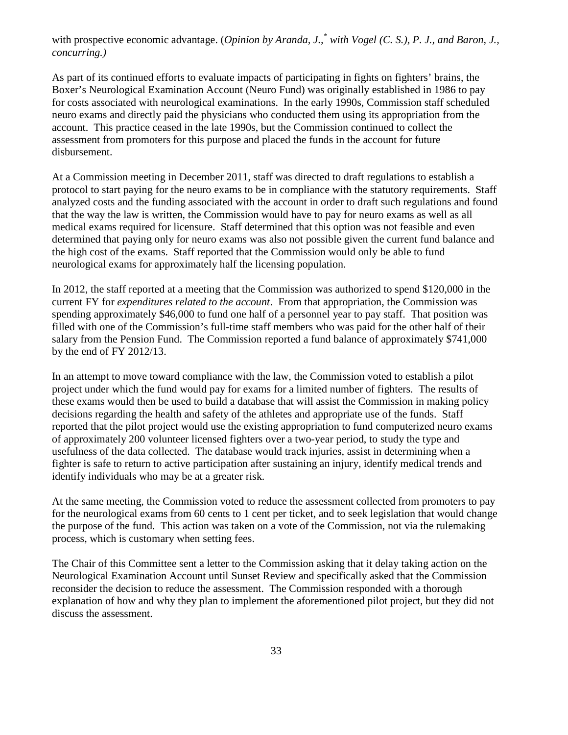with prospective economic advantage. (*Opinion by Aranda, J.,<sup>\*</sup> with Vogel* (C. S.), P. J., and Baron, J., *concurring.)* 

As part of its continued efforts to evaluate impacts of participating in fights on fighters' brains, the Boxer's Neurological Examination Account (Neuro Fund) was originally established in 1986 to pay for costs associated with neurological examinations. In the early 1990s, Commission staff scheduled neuro exams and directly paid the physicians who conducted them using its appropriation from the account. This practice ceased in the late 1990s, but the Commission continued to collect the assessment from promoters for this purpose and placed the funds in the account for future disbursement.

At a Commission meeting in December 2011, staff was directed to draft regulations to establish a protocol to start paying for the neuro exams to be in compliance with the statutory requirements. Staff analyzed costs and the funding associated with the account in order to draft such regulations and found that the way the law is written, the Commission would have to pay for neuro exams as well as all medical exams required for licensure. Staff determined that this option was not feasible and even determined that paying only for neuro exams was also not possible given the current fund balance and the high cost of the exams. Staff reported that the Commission would only be able to fund neurological exams for approximately half the licensing population.

In 2012, the staff reported at a meeting that the Commission was authorized to spend \$120,000 in the current FY for *expenditures related to the account*. From that appropriation, the Commission was spending approximately \$46,000 to fund one half of a personnel year to pay staff. That position was filled with one of the Commission's full-time staff members who was paid for the other half of their salary from the Pension Fund. The Commission reported a fund balance of approximately \$741,000 by the end of FY 2012/13.

In an attempt to move toward compliance with the law, the Commission voted to establish a pilot project under which the fund would pay for exams for a limited number of fighters. The results of these exams would then be used to build a database that will assist the Commission in making policy decisions regarding the health and safety of the athletes and appropriate use of the funds. Staff reported that the pilot project would use the existing appropriation to fund computerized neuro exams of approximately 200 volunteer licensed fighters over a two-year period, to study the type and usefulness of the data collected. The database would track injuries, assist in determining when a fighter is safe to return to active participation after sustaining an injury, identify medical trends and identify individuals who may be at a greater risk.

At the same meeting, the Commission voted to reduce the assessment collected from promoters to pay for the neurological exams from 60 cents to 1 cent per ticket, and to seek legislation that would change the purpose of the fund. This action was taken on a vote of the Commission, not via the rulemaking process, which is customary when setting fees.

The Chair of this Committee sent a letter to the Commission asking that it delay taking action on the Neurological Examination Account until Sunset Review and specifically asked that the Commission reconsider the decision to reduce the assessment. The Commission responded with a thorough explanation of how and why they plan to implement the aforementioned pilot project, but they did not discuss the assessment.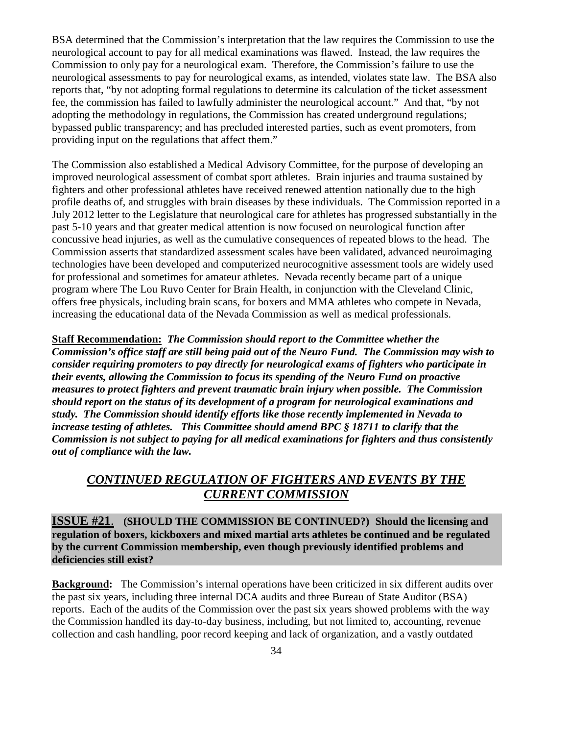BSA determined that the Commission's interpretation that the law requires the Commission to use the neurological account to pay for all medical examinations was flawed. Instead, the law requires the Commission to only pay for a neurological exam. Therefore, the Commission's failure to use the neurological assessments to pay for neurological exams, as intended, violates state law. The BSA also reports that, "by not adopting formal regulations to determine its calculation of the ticket assessment fee, the commission has failed to lawfully administer the neurological account." And that, "by not adopting the methodology in regulations, the Commission has created underground regulations; bypassed public transparency; and has precluded interested parties, such as event promoters, from providing input on the regulations that affect them."

The Commission also established a Medical Advisory Committee, for the purpose of developing an improved neurological assessment of combat sport athletes. Brain injuries and trauma sustained by fighters and other professional athletes have received renewed attention nationally due to the high profile deaths of, and struggles with brain diseases by these individuals. The Commission reported in a July 2012 letter to the Legislature that neurological care for athletes has progressed substantially in the past 5-10 years and that greater medical attention is now focused on neurological function after concussive head injuries, as well as the cumulative consequences of repeated blows to the head. The Commission asserts that standardized assessment scales have been validated, advanced neuroimaging technologies have been developed and computerized neurocognitive assessment tools are widely used for professional and sometimes for amateur athletes. Nevada recently became part of a unique program where The Lou Ruvo Center for Brain Health, in conjunction with the Cleveland Clinic, offers free physicals, including brain scans, for boxers and MMA athletes who compete in Nevada, increasing the educational data of the Nevada Commission as well as medical professionals.

**Staff Recommendation:** *The Commission should report to the Committee whether the Commission's office staff are still being paid out of the Neuro Fund. The Commission may wish to consider requiring promoters to pay directly for neurological exams of fighters who participate in their events, allowing the Commission to focus its spending of the Neuro Fund on proactive measures to protect fighters and prevent traumatic brain injury when possible. The Commission should report on the status of its development of a program for neurological examinations and study. The Commission should identify efforts like those recently implemented in Nevada to increase testing of athletes. This Committee should amend BPC § 18711 to clarify that the Commission is not subject to paying for all medical examinations for fighters and thus consistently out of compliance with the law.* 

# *CONTINUED REGULATION OF FIGHTERS AND EVENTS BY THE CURRENT COMMISSION*

**ISSUE #21**. **(SHOULD THE COMMISSION BE CONTINUED?) Should the licensing and regulation of boxers, kickboxers and mixed martial arts athletes be continued and be regulated by the current Commission membership, even though previously identified problems and deficiencies still exist?** 

**Background:** The Commission's internal operations have been criticized in six different audits over the past six years, including three internal DCA audits and three Bureau of State Auditor (BSA) reports. Each of the audits of the Commission over the past six years showed problems with the way the Commission handled its day-to-day business, including, but not limited to, accounting, revenue collection and cash handling, poor record keeping and lack of organization, and a vastly outdated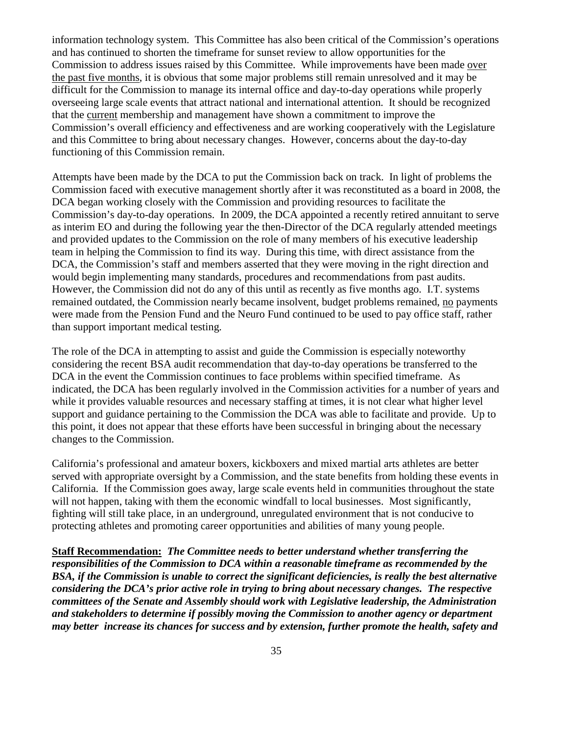information technology system. This Committee has also been critical of the Commission's operations and has continued to shorten the timeframe for sunset review to allow opportunities for the Commission to address issues raised by this Committee. While improvements have been made over the past five months, it is obvious that some major problems still remain unresolved and it may be difficult for the Commission to manage its internal office and day-to-day operations while properly overseeing large scale events that attract national and international attention. It should be recognized that the current membership and management have shown a commitment to improve the Commission's overall efficiency and effectiveness and are working cooperatively with the Legislature and this Committee to bring about necessary changes. However, concerns about the day-to-day functioning of this Commission remain.

Attempts have been made by the DCA to put the Commission back on track. In light of problems the Commission faced with executive management shortly after it was reconstituted as a board in 2008, the DCA began working closely with the Commission and providing resources to facilitate the Commission's day-to-day operations. In 2009, the DCA appointed a recently retired annuitant to serve as interim EO and during the following year the then-Director of the DCA regularly attended meetings and provided updates to the Commission on the role of many members of his executive leadership team in helping the Commission to find its way. During this time, with direct assistance from the DCA, the Commission's staff and members asserted that they were moving in the right direction and would begin implementing many standards, procedures and recommendations from past audits. However, the Commission did not do any of this until as recently as five months ago. I.T. systems remained outdated, the Commission nearly became insolvent, budget problems remained, no payments were made from the Pension Fund and the Neuro Fund continued to be used to pay office staff, rather than support important medical testing.

The role of the DCA in attempting to assist and guide the Commission is especially noteworthy considering the recent BSA audit recommendation that day-to-day operations be transferred to the DCA in the event the Commission continues to face problems within specified timeframe. As indicated, the DCA has been regularly involved in the Commission activities for a number of years and while it provides valuable resources and necessary staffing at times, it is not clear what higher level support and guidance pertaining to the Commission the DCA was able to facilitate and provide. Up to this point, it does not appear that these efforts have been successful in bringing about the necessary changes to the Commission.

California's professional and amateur boxers, kickboxers and mixed martial arts athletes are better served with appropriate oversight by a Commission, and the state benefits from holding these events in California. If the Commission goes away, large scale events held in communities throughout the state will not happen, taking with them the economic windfall to local businesses. Most significantly, fighting will still take place, in an underground, unregulated environment that is not conducive to protecting athletes and promoting career opportunities and abilities of many young people.

**Staff Recommendation:** *The Committee needs to better understand whether transferring the responsibilities of the Commission to DCA within a reasonable timeframe as recommended by the BSA, if the Commission is unable to correct the significant deficiencies, is really the best alternative considering the DCA's prior active role in trying to bring about necessary changes. The respective committees of the Senate and Assembly should work with Legislative leadership, the Administration and stakeholders to determine if possibly moving the Commission to another agency or department may better increase its chances for success and by extension, further promote the health, safety and*